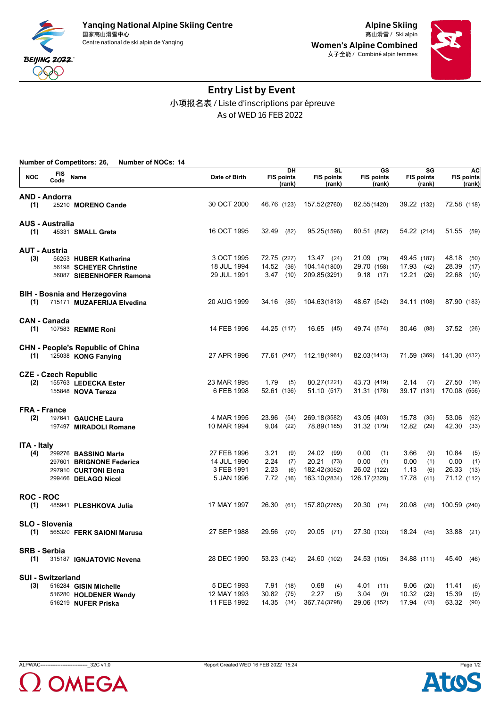



# Entry List by Event 小项报名表 / Liste d'inscriptions par épreuve As of WED 16 FEB 2022

|                    | <b>Number of Competitors: 26,</b><br><b>Number of NOCs: 14</b> |               |                                   |                                          |                                   |                                   |                                          |
|--------------------|----------------------------------------------------------------|---------------|-----------------------------------|------------------------------------------|-----------------------------------|-----------------------------------|------------------------------------------|
| <b>NOC</b>         | FIS<br>Name<br>Code                                            | Date of Birth | DH<br><b>FIS points</b><br>(rank) | <b>SL</b><br><b>FIS points</b><br>(rank) | GS<br><b>FIS points</b><br>(rank) | SG<br><b>FIS points</b><br>(rank) | <b>AC</b><br><b>FIS points</b><br>(rank) |
|                    | <b>AND - Andorra</b>                                           |               |                                   |                                          |                                   |                                   |                                          |
| (1)                | 25210 MORENO Cande                                             | 30 OCT 2000   | 46.76 (123)                       | 157.52(2760)                             | 82.55(1420)                       | 39.22 (132)                       | 72.58 (118)                              |
|                    | <b>AUS - Australia</b>                                         |               |                                   |                                          |                                   |                                   |                                          |
| (1)                | 45331 SMALL Greta                                              | 16 OCT 1995   | 32.49<br>(82)                     | 95.25(1596)                              | 60.51 (862)                       | 54.22 (214)                       | 51.55 (59)                               |
|                    | <b>AUT - Austria</b>                                           |               |                                   |                                          |                                   |                                   |                                          |
| (3)                | 56253 HUBER Katharina                                          | 3 OCT 1995    | 72.75 (227)                       | 13.47 (24)                               | 21.09<br>(79)                     | 49.45 (187)                       | 48.18<br>(50)                            |
|                    | 56198 SCHEYER Christine                                        | 18 JUL 1994   | 14.52<br>(36)                     | 104.14(1800)                             | 29.70 (158)                       | 17.93<br>(42)                     | 28.39<br>(17)                            |
|                    | 56087 SIEBENHOFER Ramona                                       | 29 JUL 1991   | 3.47<br>(10)                      | 209.85(3291)                             | 9.18(17)                          | 12.21<br>(26)                     | 22.68<br>(10)                            |
|                    | <b>BIH - Bosnia and Herzegovina</b>                            |               |                                   |                                          |                                   |                                   |                                          |
| (1)                | 715171 MUZAFERIJA Elvedina                                     | 20 AUG 1999   | 34.16<br>(85)                     | 104.63(1813)                             | 48.67 (542)                       | 34.11 (108)                       | 87.90 (183)                              |
|                    | <b>CAN - Canada</b>                                            |               |                                   |                                          |                                   |                                   |                                          |
| (1)                | 107583 REMME Roni                                              | 14 FEB 1996   | 44.25 (117)                       | 16.65 (45)                               | 49.74 (574)                       | 30.46<br>(88)                     | 37.52<br>(26)                            |
|                    | <b>CHN - People's Republic of China</b>                        |               |                                   |                                          |                                   |                                   |                                          |
| (1)                | 125038 KONG Fanying                                            | 27 APR 1996   | 77.61 (247)                       | 112.18(1961)                             | 82.03(1413)                       |                                   | 71.59 (369) 141.30 (432)                 |
|                    | <b>CZE - Czech Republic</b>                                    |               |                                   |                                          |                                   |                                   |                                          |
| (2)                | 155763 LEDECKA Ester                                           | 23 MAR 1995   | 1.79<br>(5)                       | 80.27(1221)                              | 43.73 (419)                       | 2.14<br>(7)                       | 27.50<br>(16)                            |
|                    | 155848 NOVA Tereza                                             | 6 FEB 1998    | 52.61 (136)                       | 51.10 (517)                              | 31.31 (178)                       | 39.17 (131)                       | 170.08 (556)                             |
|                    | <b>FRA - France</b>                                            |               |                                   |                                          |                                   |                                   |                                          |
| (2)                | 197641 GAUCHE Laura                                            | 4 MAR 1995    | 23.96<br>(54)                     | 269.18(3582)                             | 43.05 (403)                       | 15.78<br>(35)                     | 53.06<br>(62)                            |
|                    | 197497 MIRADOLI Romane                                         | 10 MAR 1994   | 9.04<br>(22)                      | 78.89(1185)                              | 31.32 (179)                       | 12.82<br>(29)                     | 42.30<br>(33)                            |
| <b>ITA - Italy</b> |                                                                |               |                                   |                                          |                                   |                                   |                                          |
| (4)                | 299276 BASSINO Marta                                           | 27 FEB 1996   | 3.21<br>(9)                       | 24.02<br>(99)                            | 0.00<br>(1)                       | 3.66<br>(9)                       | 10.84<br>(5)                             |
|                    | 297601 BRIGNONE Federica                                       | 14 JUL 1990   | 2.24<br>(7)                       | $20.21$ (73)                             | 0.00<br>(1)                       | 0.00<br>(1)                       | 0.00<br>(1)                              |
|                    | 297910 CURTONI Elena                                           | 3 FEB 1991    | 2.23<br>(6)                       | 182.42(3052)                             | 26.02 (122)                       | 1.13<br>(6)                       | 26.33<br>(13)                            |
|                    | 299466 DELAGO Nicol                                            | 5 JAN 1996    | 7.72<br>(16)                      | 163.10(2834)                             | 126.17(2328)                      | 17.78<br>(41)                     | 71.12 (112)                              |
| <b>ROC - ROC</b>   |                                                                |               |                                   |                                          |                                   |                                   |                                          |
| (1)                | 485941 PLESHKOVA Julia                                         | 17 MAY 1997   | 26.30<br>(61)                     | 157.80(2765)                             | 20.30 (74)                        | 20.08<br>(48)                     | 100.59 (240)                             |
|                    | SLO - Slovenia                                                 |               |                                   |                                          |                                   |                                   |                                          |
| (1)                | 565320 FERK SAIONI Marusa                                      | 27 SEP 1988   | 29.56<br>(70)                     | 20.05 (71)                               | 27.30 (133)                       | 18.24 (45)                        | 33.88 (21)                               |
|                    | <b>SRB - Serbia</b>                                            |               |                                   |                                          |                                   |                                   |                                          |
| (1)                | 315187 IGNJATOVIC Nevena                                       | 28 DEC 1990   | 53.23 (142)                       | 24.60 (102)                              | 24.53 (105)                       | 34.88 (111)                       | 45.40 (46)                               |
|                    | <b>SUI - Switzerland</b>                                       |               |                                   |                                          |                                   |                                   |                                          |
| (3)                | 516284 GISIN Michelle                                          | 5 DEC 1993    | 7.91(18)                          | 0.68<br>(4)                              | 4.01(11)                          | 9.06<br>(20)                      | 11.41<br>(6)                             |
|                    | 516280 HOLDENER Wendy                                          | 12 MAY 1993   | 30.82<br>(75)                     | 2.27<br>(5)                              | 3.04<br>(9)                       | 10.32<br>(23)                     | 15.39<br>(9)                             |
|                    | 516219 NUFER Priska                                            | 11 FEB 1992   | 14.35 (34)                        | 367.74(3798)                             | 29.06 (152)                       | 17.94 (43)                        | 63.32 (90)                               |



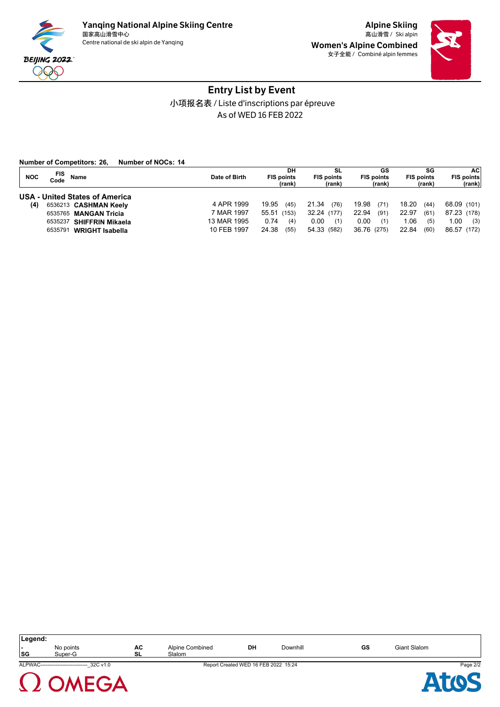

Women's Alpine Combined 女子全能 / Combiné alpin femmes



# Entry List by Event 小项报名表 / Liste d'inscriptions par épreuve As of WED 16 FEB 2022

| Number of NOCs: 14<br><b>Number of Competitors: 26,</b> |               |                         |                         |                         |                         |                          |
|---------------------------------------------------------|---------------|-------------------------|-------------------------|-------------------------|-------------------------|--------------------------|
| FIS<br><b>NOC</b><br><b>Name</b><br>Code                | Date of Birth | DH<br><b>FIS points</b> | SL<br><b>FIS points</b> | GS<br><b>FIS points</b> | SG<br><b>FIS points</b> | <b>ACI</b><br>FIS points |
|                                                         |               | (rank)                  | (rank)                  | (rank)                  | (rank)                  | (rank)                   |
| <b>USA - United States of America</b>                   |               |                         |                         |                         |                         |                          |
| (4)<br>6536213 CASHMAN Keelv                            | 4 APR 1999    | 19.95<br>(45)           | 21.34<br>(76)           | 19.98<br>(71)           | 18.20<br>(44)           | 68.09 (101)              |
| 6535765 MANGAN Tricia                                   | 7 MAR 1997    | 55.51<br>(153)          | 32.24 (177)             | 22.94<br>(91)           | 22.97<br>(61)           | 87.23 (178)              |
| 6535237 SHIFFRIN Mikaela                                | 13 MAR 1995   | 0.74<br>(4)             | 0.00<br>(1)             | 0.00<br>(1)             | 0.06<br>(5)             | 1.00<br>(3)              |
| WRIGHT Isabella<br>6535791                              | 10 FEB 1997   | 24.38<br>(55)           | 54.33 (582)             | 36.76 (275)             | 22.84<br>(60)           | 86.57 (172)              |

| Legend:<br> SG | No points<br>Super-G                        | AC<br>SL | Alpine Combined<br>Slalom | <b>DH</b>                            | Downhill | GS | Giant Slalom |          |
|----------------|---------------------------------------------|----------|---------------------------|--------------------------------------|----------|----|--------------|----------|
|                | ALPWAC---------------------------- 32C v1.0 |          |                           | Report Created WED 16 FEB 2022 15:24 |          |    |              | Page 2/2 |
|                | <b>OMFGA</b>                                |          |                           |                                      |          |    |              |          |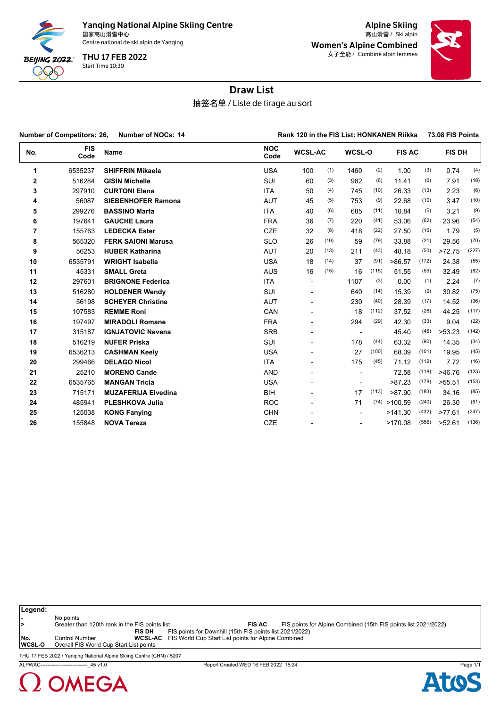

Yanqing National Alpine Skiing Centre<br><sub>国家高山滑雪中心</sub> 国家高山滑雪中心 Ski alpin 高山滑雪 /

Centre national de ski alpin de Yanqing

Start Time 10:30 THU 17 FEB 2022

Alpine Skiing Women's Alpine Combined 女子全能 / Combiné alpin femmes



## Draw List

抽签名单 / Liste de tirage au sort

|     | <b>Number of Competitors: 26,</b><br>Number of NOCs: 14 |                            | Rank 120 in the FIS List: HONKANEN Riikka |                          |      |                          |       |               |       | 73.08 FIS Points |       |  |
|-----|---------------------------------------------------------|----------------------------|-------------------------------------------|--------------------------|------|--------------------------|-------|---------------|-------|------------------|-------|--|
| No. | <b>FIS</b><br>Code                                      | Name                       | <b>NOC</b><br>Code                        | <b>WCSL-AC</b>           |      | WCSL-O                   |       | <b>FIS AC</b> |       | FIS DH           |       |  |
| 1   | 6535237                                                 | <b>SHIFFRIN Mikaela</b>    | <b>USA</b>                                | 100                      | (1)  | 1460                     | (2)   | 1.00          | (3)   | 0.74             | (4)   |  |
| 2   | 516284                                                  | <b>GISIN Michelle</b>      | SUI                                       | 60                       | (3)  | 982                      | (6)   | 11.41         | (6)   | 7.91             | (18)  |  |
| 3   | 297910                                                  | <b>CURTONI Elena</b>       | <b>ITA</b>                                | 50                       | (4)  | 745                      | (10)  | 26.33         | (13)  | 2.23             | (6)   |  |
| 4   | 56087                                                   | <b>SIEBENHOFER Ramona</b>  | <b>AUT</b>                                | 45                       | (5)  | 753                      | (9)   | 22.68         | (10)  | 3.47             | (10)  |  |
| 5   | 299276                                                  | <b>BASSINO Marta</b>       | <b>ITA</b>                                | 40                       | (6)  | 685                      | (11)  | 10.84         | (5)   | 3.21             | (9)   |  |
| 6   | 197641                                                  | <b>GAUCHE Laura</b>        | <b>FRA</b>                                | 36                       | (7)  | 220                      | (41)  | 53.06         | (62)  | 23.96            | (54)  |  |
| 7   | 155763                                                  | <b>LEDECKA Ester</b>       | <b>CZE</b>                                | 32                       | (8)  | 418                      | (22)  | 27.50         | (16)  | 1.79             | (5)   |  |
| 8   | 565320                                                  | <b>FERK SAIONI Marusa</b>  | <b>SLO</b>                                | 26                       | (10) | 59                       | (79)  | 33.88         | (21)  | 29.56            | (70)  |  |
| 9   | 56253                                                   | <b>HUBER Katharina</b>     | <b>AUT</b>                                | 20                       | (13) | 211                      | (43)  | 48.18         | (50)  | >72.75           | (227) |  |
| 10  | 6535791                                                 | <b>WRIGHT Isabella</b>     | <b>USA</b>                                | 18                       | (14) | 37                       | (91)  | >86.57        | (172) | 24.38            | (55)  |  |
| 11  | 45331                                                   | <b>SMALL Greta</b>         | <b>AUS</b>                                | 16                       | (15) | 16                       | (115) | 51.55         | (59)  | 32.49            | (82)  |  |
| 12  | 297601                                                  | <b>BRIGNONE Federica</b>   | <b>ITA</b>                                | $\blacksquare$           |      | 1107                     | (3)   | 0.00          | (1)   | 2.24             | (7)   |  |
| 13  | 516280                                                  | <b>HOLDENER Wendy</b>      | <b>SUI</b>                                | $\overline{\phantom{a}}$ |      | 640                      | (14)  | 15.39         | (9)   | 30.82            | (75)  |  |
| 14  | 56198                                                   | <b>SCHEYER Christine</b>   | <b>AUT</b>                                | L,                       |      | 230                      | (40)  | 28.39         | (17)  | 14.52            | (36)  |  |
| 15  | 107583                                                  | <b>REMME Roni</b>          | CAN                                       | ÷,                       |      | 18                       | (112) | 37.52         | (26)  | 44.25            | (117) |  |
| 16  | 197497                                                  | <b>MIRADOLI Romane</b>     | <b>FRA</b>                                | L,                       |      | 294                      | (29)  | 42.30         | (33)  | 9.04             | (22)  |  |
| 17  | 315187                                                  | <b>IGNJATOVIC Nevena</b>   | <b>SRB</b>                                | $\overline{a}$           |      | $\overline{\phantom{a}}$ |       | 45.40         | (46)  | >53.23           | (142) |  |
| 18  | 516219                                                  | <b>NUFER Priska</b>        | SUI                                       | ٠                        |      | 178                      | (44)  | 63.32         | (90)  | 14.35            | (34)  |  |
| 19  | 6536213                                                 | <b>CASHMAN Keely</b>       | <b>USA</b>                                | ÷,                       |      | 27                       | (100) | 68.09         | (101) | 19.95            | (45)  |  |
| 20  | 299466                                                  | <b>DELAGO Nicol</b>        | <b>ITA</b>                                | ÷,                       |      | 175                      | (45)  | 71.12         | (112) | 7.72             | (16)  |  |
| 21  | 25210                                                   | <b>MORENO Cande</b>        | <b>AND</b>                                | L,                       |      |                          |       | 72.58         | (118) | >46.76           | (123) |  |
| 22  | 6535765                                                 | <b>MANGAN Tricia</b>       | <b>USA</b>                                | $\overline{a}$           |      |                          |       | >87.23        | (178) | >55.51           | (153) |  |
| 23  | 715171                                                  | <b>MUZAFERIJA Elvedina</b> | <b>BIH</b>                                |                          |      | 17                       | (113) | >87.90        | (183) | 34.16            | (85)  |  |
| 24  | 485941                                                  | <b>PLESHKOVA Julia</b>     | <b>ROC</b>                                | ÷,                       |      | 71                       |       | (74) > 100.59 | (240) | 26.30            | (61)  |  |
| 25  | 125038                                                  | <b>KONG Fanying</b>        | <b>CHN</b>                                |                          |      |                          |       | >141.30       | (432) | >77.61           | (247) |  |
| 26  | 155848                                                  | <b>NOVA Tereza</b>         | <b>CZE</b>                                |                          |      |                          |       | >170.08       | (556) | >52.61           | (136) |  |

**Legend: -** No points **>** Greater than 120th rank in the FIS points list **FIS AC** FIS points for Alpine Combined (15th FIS points list 2021/2022) **FIS DH** FIS points for Downhill (15th FIS points list 2021/2022) **No.** Control Number **WCSL-AC** FIS World Cup Start List points for Alpine Combined **Overall FIS World Cup Start List points** 

THU 17 FEB 2022 / Yanqing National Alpine Skiing Centre (CHN) / 5207



ALPWAC----------------------------\_45 v1.0 Report Created WED 16 FEB 2022 15:24 Page 1/1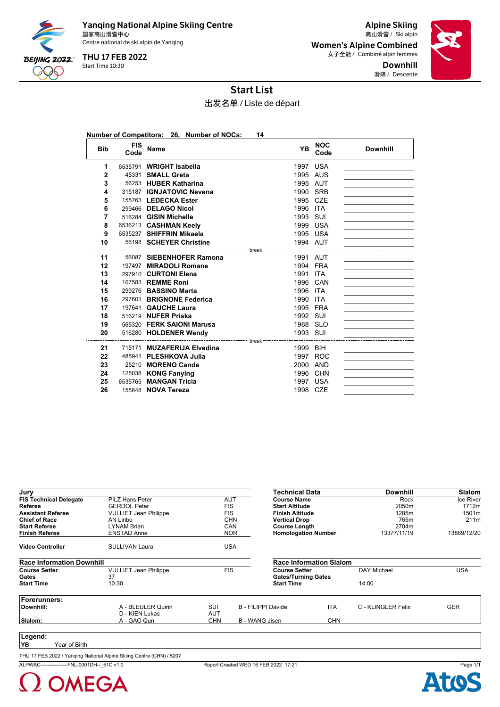

Yanqing National Alpine Skiing Centre<br><sub>国家高山滑雪中心</sub> 国家高山滑雪中心 Ski alpin 高山滑雪 / Centre national de ski alpin de Yanqing

Start Time 10:30 THU 17 FEB 2022

Alpine Skiing Women's Alpine Combined 女子全能 / Combiné alpin femmes Downhill 滑降 / Descente



Start List

出发名单 / Liste de départ

|              |                    | Number of Competitors: 26, Number of NOCs: | 14                                      |                    |                 |
|--------------|--------------------|--------------------------------------------|-----------------------------------------|--------------------|-----------------|
| <b>Bib</b>   | <b>FIS</b><br>Code | <b>Name</b>                                | YB                                      | <b>NOC</b><br>Code | <b>Downhill</b> |
| 1            |                    | 6535791 WRIGHT Isabella                    | 1997 USA                                |                    |                 |
| $\mathbf{2}$ |                    | 45331 SMALL Greta                          | 1995 AUS                                |                    |                 |
| 3            |                    | 56253 HUBER Katharina                      | 1995 AUT                                |                    |                 |
| 4            |                    | 315187 IGNJATOVIC Nevena                   | 1990 SRB                                |                    |                 |
| 5            |                    | 155763 LEDECKA Ester                       | 1995 CZE                                |                    |                 |
| 6            |                    | 299466 DELAGO Nicol                        | 1996 ITA                                |                    |                 |
| 7            |                    | 516284 GISIN Michelle                      | 1993 SUI                                |                    |                 |
| 8            |                    | 6536213 CASHMAN Keely                      | 1999 USA                                |                    |                 |
| 9            |                    | 6535237 SHIFFRIN Mikaela                   | 1995 USA                                |                    |                 |
| 10           |                    | 56198 SCHEYER Christine                    | 1994 AUT                                |                    |                 |
| 11           |                    | 56087 SIEBENHOFER Ramona                   | 1991 AUT                                |                    |                 |
| 12           |                    | 197497 MIRADOLI Romane                     | 1994 FRA                                |                    |                 |
| 13           |                    | 297910 CURTONI Elena                       | 1991 ITA                                |                    |                 |
| 14           |                    | 107583 REMME Roni                          | 1996 CAN                                |                    |                 |
| 15           |                    | 299276 BASSINO Marta                       | 1996 ITA                                |                    |                 |
| 16           |                    | 297601 BRIGNONE Federica                   | 1990 ITA                                |                    |                 |
| 17           |                    | 197641 GAUCHE Laura                        | 1995 FRA                                |                    |                 |
| 18           |                    | 516219 NUFER Priska                        | 1992 SUI                                |                    |                 |
| 19           |                    | 565320 FERK SAIONI Marusa                  | 1988 SLO                                |                    |                 |
| 20           |                    | 516280 HOLDENER Wendy                      | 1993 SUI                                |                    |                 |
|              |                    |                                            | --- break ----------------------------- |                    |                 |
| 21           |                    | 715171 MUZAFERIJA Elvedina                 | 1999 BIH                                |                    |                 |
| 22           |                    | 485941 PLESHKOVA Julia                     | 1997 ROC                                |                    |                 |
| 23           |                    | 25210 MORENO Cande                         | 2000 AND                                |                    |                 |
| 24           |                    | 125038 KONG Fanying                        | 1996 CHN                                |                    |                 |
| 25           |                    | 6535765 MANGAN Tricia                      | 1997 USA                                |                    |                 |
| 26           |                    | 155848 NOVA Tereza                         | 1998 CZE                                |                    |                 |

| Jury                             |                              |            |                    | Technical Data                 |            | <b>Downhill</b>    | <b>Slalom</b> |
|----------------------------------|------------------------------|------------|--------------------|--------------------------------|------------|--------------------|---------------|
| <b>FIS Technical Delegate</b>    | PILZ Hans Peter              |            | AUT                | <b>Course Name</b>             |            | Rock               | Ice River     |
| Referee                          | <b>GERDOL Peter</b>          |            | <b>FIS</b>         | <b>Start Altitude</b>          |            | 2050m              | 1712m         |
| <b>Assistant Referee</b>         | <b>VULLIET Jean Philippe</b> |            | <b>FIS</b>         | <b>Finish Altitude</b>         |            | 1285m              | 1501m         |
| <b>Chief of Race</b>             | AN Linbo                     |            | <b>CHN</b>         | <b>Vertical Drop</b>           |            | 765m               | 211m          |
| <b>Start Referee</b>             | <b>LYNAM Brian</b>           |            | CAN                | <b>Course Length</b>           |            | 2704m              |               |
| <b>Finish Referee</b>            | <b>ENSTAD Anne</b>           |            | <b>NOR</b>         | <b>Homologation Number</b>     |            | 13377/11/19        | 13889/12/20   |
| <b>Video Controller</b>          | <b>SULLIVAN Laura</b>        |            | <b>USA</b>         |                                |            |                    |               |
| <b>Race Information Downhill</b> |                              |            |                    | <b>Race Information Slalom</b> |            |                    |               |
| <b>Course Setter</b>             | <b>VULLIET Jean Philippe</b> |            | <b>FIS</b>         | <b>Course Setter</b>           |            | <b>DAY Michael</b> | <b>USA</b>    |
| Gates                            | 37                           |            |                    | <b>Gates/Turning Gates</b>     |            |                    |               |
| <b>Start Time</b>                | 10:30                        |            |                    | <b>Start Time</b>              |            | 14:00              |               |
| <b>Forerunners:</b>              |                              |            |                    |                                |            |                    |               |
| Downhill:                        | A - BLEULER Quirin           | SUI        | B - FILIPPI Davide |                                | <b>ITA</b> | C - KLINGLER Felix | <b>GER</b>    |
|                                  | D - KIEN Lukas               | <b>AUT</b> |                    |                                |            |                    |               |
| Slalom:                          | A - GAO Qun                  | <b>CHN</b> | B - WANG Jisen     |                                | <b>CHN</b> |                    |               |
|                                  |                              |            |                    |                                |            |                    |               |
| Legend:                          |                              |            |                    |                                |            |                    |               |

**YB** Year of Birth

THU 17 FEB 2022 / Yanqing National Alpine Skiing Centre (CHN) / 5207

ALPWAC----------------FNL-0001DH--\_51C v1.0 Report Created WED 16 FEB 2022 17:21 Page 1/1



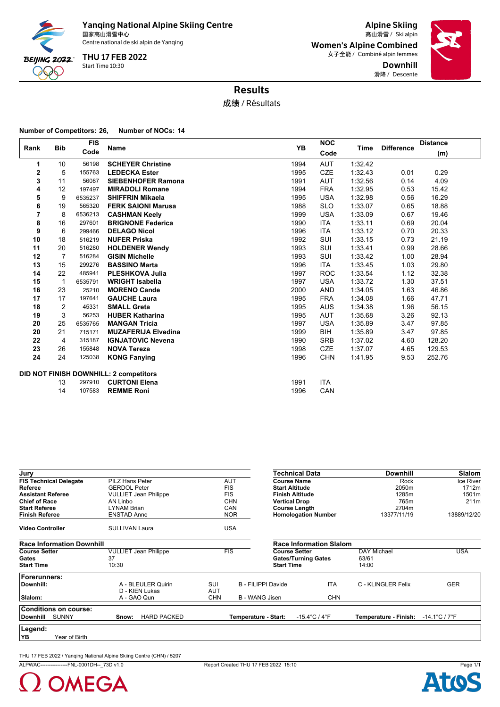

Yanqing National Alpine Skiing Centre<br><sub>国家高山滑雪中心</sub>

Centre national de ski alpin de Yanqing

Start Time 10:30 THU 17 FEB 2022

Alpine Skiing 国家高山滑雪中心 Ski alpin 高山滑雪 / Women's Alpine Combined 女子全能 / Combiné alpin femmes Downhill 滑降 / Descente



## Results

成绩 / Résultats

#### **Number of Competitors: 26, Number of NOCs: 14**

| Rank         | <b>Bib</b> | <b>FIS</b><br>Name |                                        | <b>YB</b> | <b>NOC</b> |         | <b>Difference</b> | <b>Distance</b> |  |
|--------------|------------|--------------------|----------------------------------------|-----------|------------|---------|-------------------|-----------------|--|
|              |            | Code               |                                        |           | Code       | Time    |                   | (m)             |  |
| 1            | 10         | 56198              | <b>SCHEYER Christine</b>               | 1994      | <b>AUT</b> | 1:32.42 |                   |                 |  |
| $\mathbf{2}$ | 5          | 155763             | <b>LEDECKA Ester</b>                   | 1995      | <b>CZE</b> | 1:32.43 | 0.01              | 0.29            |  |
| 3            | 11         | 56087              | <b>SIEBENHOFER Ramona</b>              | 1991      | <b>AUT</b> | 1:32.56 | 0.14              | 4.09            |  |
| 4            | 12         | 197497             | <b>MIRADOLI Romane</b>                 | 1994      | <b>FRA</b> | 1:32.95 | 0.53              | 15.42           |  |
| 5            | 9          | 6535237            | <b>SHIFFRIN Mikaela</b>                | 1995      | <b>USA</b> | 1:32.98 | 0.56              | 16.29           |  |
| 6            | 19         | 565320             | <b>FERK SAIONI Marusa</b>              | 1988      | <b>SLO</b> | 1:33.07 | 0.65              | 18.88           |  |
| 7            | 8          | 6536213            | <b>CASHMAN Keely</b>                   | 1999      | <b>USA</b> | 1:33.09 | 0.67              | 19.46           |  |
| 8            | 16         | 297601             | <b>BRIGNONE Federica</b>               | 1990      | <b>ITA</b> | 1:33.11 | 0.69              | 20.04           |  |
| 9            | 6          | 299466             | <b>DELAGO Nicol</b>                    | 1996      | <b>ITA</b> | 1:33.12 | 0.70              | 20.33           |  |
| 10           | 18         | 516219             | <b>NUFER Priska</b>                    | 1992      | SUI        | 1:33.15 | 0.73              | 21.19           |  |
| 11           | 20         | 516280             | <b>HOLDENER Wendy</b>                  | 1993      | SUI        | 1:33.41 | 0.99              | 28.66           |  |
| 12           | 7          | 516284             | <b>GISIN Michelle</b>                  | 1993      | SUI        | 1:33.42 | 1.00              | 28.94           |  |
| 13           | 15         | 299276             | <b>BASSINO Marta</b>                   | 1996      | <b>ITA</b> | 1:33.45 | 1.03              | 29.80           |  |
| 14           | 22         | 485941             | <b>PLESHKOVA Julia</b>                 | 1997      | <b>ROC</b> | 1:33.54 | 1.12              | 32.38           |  |
| 15           | 1          | 6535791            | <b>WRIGHT Isabella</b>                 | 1997      | <b>USA</b> | 1:33.72 | 1.30              | 37.51           |  |
| 16           | 23         | 25210              | <b>MORENO Cande</b>                    | 2000      | <b>AND</b> | 1:34.05 | 1.63              | 46.86           |  |
| 17           | 17         | 197641             | <b>GAUCHE Laura</b>                    | 1995      | <b>FRA</b> | 1:34.08 | 1.66              | 47.71           |  |
| 18           | 2          | 45331              | <b>SMALL Greta</b>                     | 1995      | <b>AUS</b> | 1:34.38 | 1.96              | 56.15           |  |
| 19           | 3          | 56253              | <b>HUBER Katharina</b>                 | 1995      | <b>AUT</b> | 1:35.68 | 3.26              | 92.13           |  |
| 20           | 25         | 6535765            | <b>MANGAN Tricia</b>                   | 1997      | <b>USA</b> | 1:35.89 | 3.47              | 97.85           |  |
| 20           | 21         | 715171             | <b>MUZAFERIJA Elvedina</b>             | 1999      | <b>BIH</b> | 1:35.89 | 3.47              | 97.85           |  |
| 22           | 4          | 315187             | <b>IGNJATOVIC Nevena</b>               | 1990      | <b>SRB</b> | 1:37.02 | 4.60              | 128.20          |  |
| 23           | 26         | 155848             | <b>NOVA Tereza</b>                     | 1998      | <b>CZE</b> | 1:37.07 | 4.65              | 129.53          |  |
| 24           | 24         | 125038             | <b>KONG Fanying</b>                    | 1996      | <b>CHN</b> | 1:41.95 | 9.53              | 252.76          |  |
|              |            |                    | DID NOT FINISH DOWNHILL: 2 competitors |           |            |         |                   |                 |  |
|              | 13         | 297910             | <b>CURTONI Elena</b>                   | 1991      | <b>ITA</b> |         |                   |                 |  |
|              | 14         | 107583             | <b>REMME Roni</b>                      | 1996      | CAN        |         |                   |                 |  |
|              |            |                    |                                        |           |            |         |                   |                 |  |

| Jury                             |                              |                      | Technical Data                    | <b>Downhill</b>                  | <b>Slalom</b>                      |
|----------------------------------|------------------------------|----------------------|-----------------------------------|----------------------------------|------------------------------------|
| <b>FIS Technical Delegate</b>    | PILZ Hans Peter              | <b>AUT</b>           | <b>Course Name</b>                | Rock                             | Ice River                          |
| Referee                          | <b>GERDOL Peter</b>          | <b>FIS</b>           | <b>Start Altitude</b>             | 2050m                            | 1712m                              |
| <b>Assistant Referee</b>         | <b>VULLIET Jean Philippe</b> | <b>FIS</b>           | <b>Finish Altitude</b>            | 1285m                            | 1501m                              |
| <b>Chief of Race</b>             | AN Linbo                     | <b>CHN</b>           | <b>Vertical Drop</b>              | 765m                             | 211m                               |
| <b>Start Referee</b>             | LYNAM Brian                  | CAN                  | <b>Course Length</b>              | 2704m                            |                                    |
| <b>Finish Referee</b>            | ENSTAD Anne                  | <b>NOR</b>           | <b>Homologation Number</b>        | 13377/11/19                      | 13889/12/20                        |
| <b>Video Controller</b>          | <b>SULLIVAN Laura</b>        | <b>USA</b>           |                                   |                                  |                                    |
| <b>Race Information Downhill</b> |                              |                      | <b>Race Information Slalom</b>    |                                  |                                    |
| <b>Course Setter</b>             | <b>VULLIET Jean Philippe</b> | FIS                  | <b>Course Setter</b>              | <b>DAY Michael</b>               | <b>USA</b>                         |
| Gates                            | 37                           |                      | <b>Gates/Turning Gates</b>        | 63/61                            |                                    |
| <b>Start Time</b>                | 10:30                        |                      | <b>Start Time</b>                 | 14:00                            |                                    |
| Forerunners:                     |                              |                      |                                   |                                  |                                    |
| Downhill:                        | A - BLEULER Quirin           | SUI                  | B - FILIPPI Davide                | <b>ITA</b><br>C - KLINGLER Felix | <b>GER</b>                         |
|                                  | D - KIEN Lukas               | AUT                  |                                   |                                  |                                    |
| Slalom:                          | A - GAO Qun                  | CHN                  | B - WANG Jisen                    | <b>CHN</b>                       |                                    |
| <b>Conditions on course:</b>     |                              |                      |                                   |                                  |                                    |
| <b>Downhill</b><br><b>SUNNY</b>  | <b>HARD PACKED</b><br>Snow:  | Temperature - Start: | $-15.4^{\circ}$ C / $4^{\circ}$ F | Temperature - Finish:            | $-14.1^{\circ}$ C / 7 $^{\circ}$ F |
| Legend:                          |                              |                      |                                   |                                  |                                    |
| YB<br>Year of Birth              |                              |                      |                                   |                                  |                                    |

THU 17 FEB 2022 / Yanqing National Alpine Skiing Centre (CHN) / 5207

ALPWAC----------------FNL-0001DH--\_73D v1.0 Report Created THU 17 FEB 2022 15:10 Page 1/1

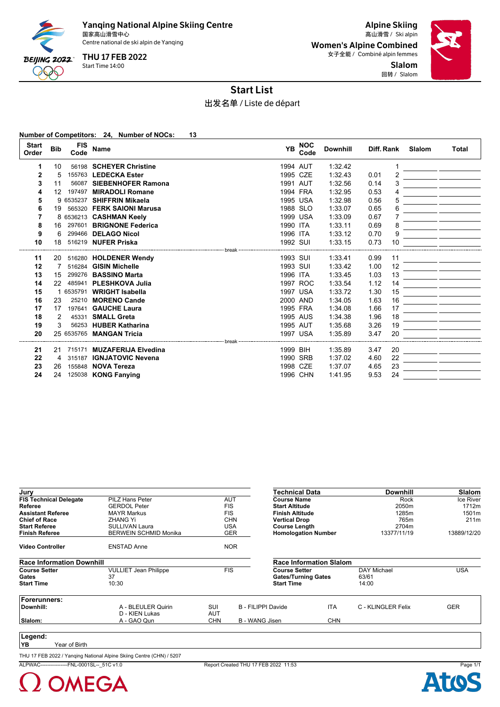

Yanqing National Alpine Skiing Centre<br><sub>国家高山滑雪中心</sub>

Centre national de ski alpin de Yanqing

Start Time 14:00 THU 17 FEB 2022

Alpine Skiing 国家高山滑雪中心 Ski alpin 高山滑雪 / Women's Alpine Combined 女子全能 / Combiné alpin femmes Slalom

回转 / Slalom



## Start List

出发名单 / Liste de départ

**Number of Competitors: 24, Number of NOCs: 13**

| <b>Start</b><br>Order | <b>Bib</b> | <b>FIS</b><br>Code | Name                       | <b>YB</b> | <b>NOC</b><br>Code | <b>Downhill</b> | Diff. Rank | Slalom | <b>Total</b> |
|-----------------------|------------|--------------------|----------------------------|-----------|--------------------|-----------------|------------|--------|--------------|
| 1                     | 10         |                    | 56198 SCHEYER Christine    |           | 1994 AUT           | 1:32.42         |            |        |              |
| 2                     | 5          |                    | 155763 LEDECKA Ester       |           | 1995 CZE           | 1:32.43         | 0.01       |        |              |
| 3                     | 11         |                    | 56087 SIEBENHOFER Ramona   |           | 1991 AUT           | 1:32.56         | 0.14       | 3      |              |
| 4                     | 12         | 197497             | <b>MIRADOLI Romane</b>     |           | 1994 FRA           | 1:32.95         | 0.53       | 4      |              |
| 5                     |            | 9 6535237          | <b>SHIFFRIN Mikaela</b>    |           | 1995 USA           | 1:32.98         | 0.56       | 5      |              |
| 6                     | 19         |                    | 565320 FERK SAIONI Marusa  |           | 1988 SLO           | 1:33.07         | 0.65       | 6      |              |
| 7                     |            |                    | 8 6536213 CASHMAN Keely    |           | 1999 USA           | 1:33.09         | 0.67       |        |              |
| 8                     | 16         | 297601             | <b>BRIGNONE Federica</b>   | 1990 ITA  |                    | 1:33.11         | 0.69       | 8      |              |
| 9                     | 6          |                    | 299466 DELAGO Nicol        | 1996 ITA  |                    | 1:33.12         | 0.70       | 9      |              |
| 10                    | 18         |                    | 516219 NUFER Priska        | 1992 SUI  |                    | 1:33.15         | 0.73<br>10 |        |              |
|                       |            |                    |                            | break     |                    |                 |            |        |              |
| 11                    | 20         |                    | 516280 HOLDENER Wendy      | 1993 SUI  |                    | 1:33.41         | 0.99<br>11 |        |              |
| 12                    |            |                    | 516284 GISIN Michelle      | 1993 SUI  |                    | 1:33.42         | 1.00<br>12 |        |              |
| 13                    | 15         |                    | 299276 BASSINO Marta       | 1996 ITA  |                    | 1:33.45         | 1.03<br>13 |        |              |
| 14                    | 22         | 485941             | <b>PLESHKOVA Julia</b>     |           | 1997 ROC           | 1:33.54         | 1.12<br>14 |        |              |
| 15                    |            | 6535791            | <b>WRIGHT Isabella</b>     |           | 1997 USA           | 1:33.72         | 1.30<br>15 |        |              |
| 16                    | 23         |                    | 25210 MORENO Cande         |           | 2000 AND           | 1:34.05         | 1.63<br>16 |        |              |
| 17                    | 17         | 197641             | <b>GAUCHE Laura</b>        |           | 1995 FRA           | 1:34.08         | 17<br>1.66 |        |              |
| 18                    | 2          | 45331              | <b>SMALL Greta</b>         |           | 1995 AUS           | 1:34.38         | 1.96<br>18 |        |              |
| 19                    | 3          |                    | 56253 HUBER Katharina      |           | 1995 AUT           | 1:35.68         | 3.26<br>19 |        |              |
| 20                    |            |                    | 25 6535765 MANGAN Tricia   |           | 1997 USA           | 1:35.89         | 20<br>3.47 |        |              |
|                       |            |                    |                            | break     |                    |                 |            |        |              |
| 21                    | 21         | 715171             | <b>MUZAFERIJA Elvedina</b> | 1999 BIH  |                    | 1:35.89         | 20<br>3.47 |        |              |
| 22                    | 4          | 315187             | <b>IGNJATOVIC Nevena</b>   |           | 1990 SRB           | 1:37.02         | 22<br>4.60 |        |              |
| 23                    | 26         |                    | 155848 NOVA Tereza         |           | 1998 CZE           | 1:37.07         | 23<br>4.65 |        |              |
| 24                    | 24         |                    | 125038 KONG Fanying        |           | 1996 CHN           | 1:41.95         | 9.53<br>24 |        |              |

| Jury                             |                              |            | Technical Data                           |                                | <b>Downhill</b>    | <b>Slalom</b> |
|----------------------------------|------------------------------|------------|------------------------------------------|--------------------------------|--------------------|---------------|
| <b>FIS Technical Delegate</b>    | <b>PILZ Hans Peter</b>       | <b>AUT</b> | <b>Course Name</b>                       |                                | Rock               | Ice River     |
| Referee                          | <b>GERDOL Peter</b>          | <b>FIS</b> | <b>Start Altitude</b>                    |                                | 2050m              | 1712m         |
| <b>Assistant Referee</b>         | <b>MAYR Markus</b>           | <b>FIS</b> | <b>Finish Altitude</b>                   |                                | 1285m              | 1501m         |
| <b>Chief of Race</b>             | <b>ZHANG Yi</b>              |            | <b>CHN</b><br><b>Vertical Drop</b>       |                                | 765m               | 211m          |
| <b>Start Referee</b>             | <b>SULLIVAN Laura</b>        |            | <b>USA</b><br><b>Course Length</b>       |                                | 2704m              |               |
| <b>Finish Referee</b>            | <b>BERWEIN SCHMID Monika</b> |            | <b>Homologation Number</b><br><b>GER</b> |                                | 13377/11/19        | 13889/12/20   |
| <b>Video Controller</b>          | <b>ENSTAD Anne</b>           |            | <b>NOR</b>                               |                                |                    |               |
| <b>Race Information Downhill</b> |                              |            |                                          | <b>Race Information Slalom</b> |                    |               |
| <b>Course Setter</b>             | <b>VULLIET Jean Philippe</b> | <b>FIS</b> | <b>Course Setter</b>                     |                                | <b>DAY Michael</b> | <b>USA</b>    |
| Gates                            | 37                           |            | <b>Gates/Turning Gates</b>               |                                | 63/61              |               |
| <b>Start Time</b>                | 10:30                        |            | <b>Start Time</b>                        |                                | 14:00              |               |
| Forerunners:                     |                              |            |                                          |                                |                    |               |
| Downhill:                        | A - BLEULER Quirin           | SUI        | B - FILIPPI Davide                       | <b>ITA</b>                     | C - KLINGLER Felix | <b>GER</b>    |
|                                  | D - KIEN Lukas               | AUT        |                                          |                                |                    |               |
| Slalom:                          | A - GAO Qun                  | <b>CHN</b> | B - WANG Jisen                           | <b>CHN</b>                     |                    |               |
|                                  |                              |            |                                          |                                |                    |               |
| Legend:                          |                              |            |                                          |                                |                    |               |

**YB** Year of Birth

THU 17 FEB 2022 / Yanqing National Alpine Skiing Centre (CHN) / 5207

ALPWAC----------------FNL-0001SL--\_51C v1.0 Report Created THU 17 FEB 2022 11:53 Page 1/1



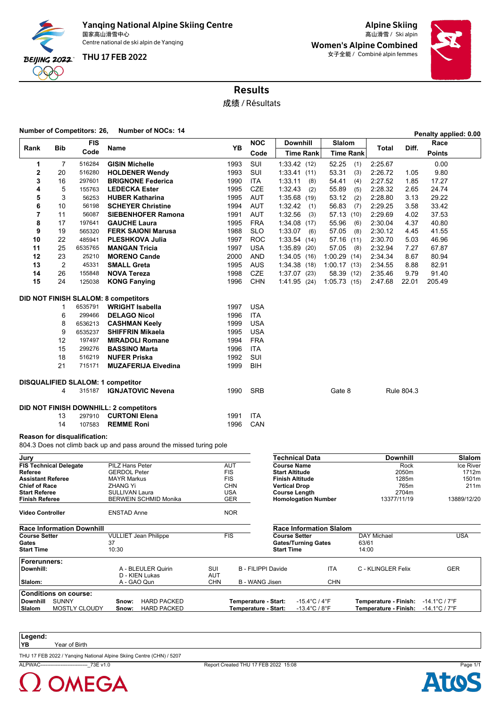

**Yanqing National Alpine Skiing Centre** and alpine Skiing and alpine Skiing and alpine Skiing and alpine Skiing a<br>国家高山滑雪小 Ski alpin 国家高山滑雪中心 Ski alpin 高山滑雪 / Centre national de ski alpin de Yanqing

THU 17 FEB 2022

Women's Alpine Combined 女子全能 / Combiné alpin femmes



Results

成绩 / Résultats

**Number of Competitors: 26, Number of NOCs: <sup>14</sup> Penalty applied: 0.00**

|                                          |                | <b>FIS</b>                   |                                                                     | <b>YB</b>         | <b>NOC</b> | <b>Downhill</b>                      | Slalom           |         | Diff.           | Race          |                    |
|------------------------------------------|----------------|------------------------------|---------------------------------------------------------------------|-------------------|------------|--------------------------------------|------------------|---------|-----------------|---------------|--------------------|
| Rank                                     | <b>Bib</b>     | Code                         | Name                                                                |                   | Code       | <b>Time Rank</b>                     | <b>Time Rank</b> | Total   |                 | <b>Points</b> |                    |
| 1                                        | 7              | 516284                       | <b>GISIN Michelle</b>                                               | 1993              | SUI        | 1:33.42(12)                          | 52.25<br>(1)     | 2:25.67 |                 | 0.00          |                    |
| 2                                        | 20             | 516280                       | <b>HOLDENER Wendy</b>                                               | 1993              | SUI        | 1:33.41(11)                          | 53.31<br>(3)     | 2:26.72 | 1.05            | 9.80          |                    |
| 3                                        | 16             | 297601                       | <b>BRIGNONE Federica</b>                                            | 1990              | <b>ITA</b> | 1:33.11<br>(8)                       | 54.41<br>(4)     | 2:27.52 | 1.85            | 17.27         |                    |
| 4                                        | 5              | 155763                       | <b>LEDECKA Ester</b>                                                | 1995              | <b>CZE</b> | 1:32.43<br>(2)                       | 55.89<br>(5)     | 2:28.32 | 2.65            | 24.74         |                    |
| 5                                        | 3              | 56253                        | <b>HUBER Katharina</b>                                              | 1995              | <b>AUT</b> | 1:35.68(19)                          | 53.12<br>(2)     | 2:28.80 | 3.13            | 29.22         |                    |
| 6                                        | 10             | 56198                        | <b>SCHEYER Christine</b>                                            | 1994              | <b>AUT</b> | 1:32.42<br>(1)                       | 56.83<br>(7)     | 2:29.25 | 3.58            | 33.42         |                    |
| 7                                        | 11             | 56087                        | <b>SIEBENHOFER Ramona</b>                                           | 1991              | <b>AUT</b> | 1:32.56<br>(3)                       | 57.13 (10)       | 2:29.69 | 4.02            | 37.53         |                    |
| 8                                        | 17             | 197641                       | <b>GAUCHE Laura</b>                                                 | 1995              | <b>FRA</b> | 1:34.08<br>(17)                      | 55.96<br>(6)     | 2:30.04 | 4.37            | 40.80         |                    |
| 9                                        | 19             | 565320                       | <b>FERK SAIONI Marusa</b>                                           | 1988              | <b>SLO</b> | 1:33.07<br>(6)                       | 57.05<br>(8)     | 2:30.12 | 4.45            | 41.55         |                    |
| 10                                       | 22             | 485941                       | <b>PLESHKOVA Julia</b>                                              | 1997              | <b>ROC</b> | 1:33.54<br>(14)                      | 57.16 (11)       | 2:30.70 | 5.03            | 46.96         |                    |
| 11                                       | 25             | 6535765                      | <b>MANGAN Tricia</b>                                                | 1997              | <b>USA</b> | 1:35.89<br>(20)                      | 57.05<br>(8)     | 2:32.94 | 7.27            | 67.87         |                    |
| 12                                       | 23             | 25210                        | <b>MORENO Cande</b>                                                 | 2000              | <b>AND</b> | 1:34.05(16)                          | 1:00.29(14)      | 2:34.34 | 8.67            | 80.94         |                    |
| 13                                       | $\overline{2}$ | 45331                        | <b>SMALL Greta</b>                                                  | 1995              | <b>AUS</b> | 1:34.38(18)                          | 1:00.17(13)      | 2:34.55 | 8.88            | 82.91         |                    |
| 14                                       | 26             | 155848                       | <b>NOVA Tereza</b>                                                  | 1998              | <b>CZE</b> | $1:37.07$ (23)                       | 58.39 (12)       | 2:35.46 | 9.79            | 91.40         |                    |
| 15                                       | 24             | 125038                       | <b>KONG Fanying</b>                                                 | 1996              | <b>CHN</b> | 1.41.95(24)                          | 1:05.73(15)      | 2:47.68 | 22.01           | 205.49        |                    |
|                                          |                |                              | <b>DID NOT FINISH SLALOM: 8 competitors</b>                         |                   |            |                                      |                  |         |                 |               |                    |
|                                          | 1              | 6535791                      | <b>WRIGHT Isabella</b>                                              | 1997              | <b>USA</b> |                                      |                  |         |                 |               |                    |
|                                          | 6              | 299466                       | <b>DELAGO Nicol</b>                                                 | 1996              | <b>ITA</b> |                                      |                  |         |                 |               |                    |
|                                          | 8              | 6536213                      | <b>CASHMAN Keely</b>                                                | 1999              | <b>USA</b> |                                      |                  |         |                 |               |                    |
|                                          | 9              | 6535237                      | <b>SHIFFRIN Mikaela</b>                                             | 1995              | <b>USA</b> |                                      |                  |         |                 |               |                    |
|                                          | 12             | 197497                       | <b>MIRADOLI Romane</b>                                              | 1994              | <b>FRA</b> |                                      |                  |         |                 |               |                    |
|                                          | 15             | 299276                       | <b>BASSINO Marta</b>                                                | 1996              | <b>ITA</b> |                                      |                  |         |                 |               |                    |
|                                          | 18             | 516219                       | <b>NUFER Priska</b>                                                 | 1992              | SUI        |                                      |                  |         |                 |               |                    |
|                                          | 21             | 715171                       | <b>MUZAFERIJA Elvedina</b>                                          | 1999              | <b>BIH</b> |                                      |                  |         |                 |               |                    |
|                                          |                |                              | <b>DISQUALIFIED SLALOM: 1 competitor</b>                            |                   |            |                                      |                  |         |                 |               |                    |
|                                          | 4              | 315187                       | <b>IGNJATOVIC Nevena</b>                                            | 1990              | <b>SRB</b> |                                      | Gate 8           |         | Rule 804.3      |               |                    |
|                                          |                |                              | DID NOT FINISH DOWNHILL: 2 competitors                              |                   |            |                                      |                  |         |                 |               |                    |
|                                          | 13             | 297910                       | <b>CURTONI Elena</b>                                                | 1991              | <b>ITA</b> |                                      |                  |         |                 |               |                    |
|                                          | 14             | 107583                       | <b>REMME Roni</b>                                                   | 1996              | CAN        |                                      |                  |         |                 |               |                    |
|                                          |                | Reason for disqualification: |                                                                     |                   |            |                                      |                  |         |                 |               |                    |
|                                          |                |                              | 804.3 Does not climb back up and pass around the missed turing pole |                   |            |                                      |                  |         |                 |               |                    |
| Jury                                     |                |                              |                                                                     |                   |            | <b>Technical Data</b>                |                  |         | <b>Downhill</b> |               | <b>Slalom</b>      |
| <b>FIS Technical Delegate</b><br>Referee |                |                              | PILZ Hans Peter<br>GERDOL Peter                                     | AUT<br><b>FIS</b> |            | <b>Course Name</b><br>Start Altitude |                  |         | Rock<br>2050m   |               | Ice River<br>1712m |

| <b>FIS Technical Delegate</b>    | <b>PILZ Hans Peter</b>       | <b>AUT</b>                          | <b>Course Name</b>                 | Rock                  | Ice River                          |
|----------------------------------|------------------------------|-------------------------------------|------------------------------------|-----------------------|------------------------------------|
| Referee                          | <b>GERDOL Peter</b>          | <b>FIS</b>                          | <b>Start Altitude</b>              | 2050m                 | 1712m                              |
| Assistant Referee                | <b>MAYR Markus</b>           | <b>FIS</b>                          | Finish Altitude                    | 1285m                 | 1501m                              |
| <b>Chief of Race</b>             | <b>ZHANG Yi</b>              | CHN                                 | <b>Vertical Drop</b>               | 765m                  | 211m                               |
| <b>Start Referee</b>             | <b>SULLIVAN Laura</b>        | <b>USA</b>                          | <b>Course Length</b>               | 2704m                 |                                    |
| Finish Referee                   | <b>BERWEIN SCHMID Monika</b> | <b>GER</b>                          | <b>Homologation Number</b>         | 13377/11/19           | 13889/12/20                        |
| Video Controller                 | <b>ENSTAD Anne</b>           | <b>NOR</b>                          |                                    |                       |                                    |
| <b>Race Information Downhill</b> |                              |                                     | <b>Race Information Slalom</b>     |                       |                                    |
| <b>Course Setter</b>             | <b>VULLIET Jean Philippe</b> | <b>FIS</b>                          | <b>Course Setter</b>               | <b>DAY Michael</b>    | USA                                |
| Gates                            | 37                           |                                     | <b>Gates/Turning Gates</b>         | 63/61                 |                                    |
| Start Time                       | 10:30                        |                                     | <b>Start Time</b>                  | 14:00                 |                                    |
| Forerunners:                     |                              |                                     |                                    |                       |                                    |
| Downhill:                        | A - BLEULER Quirin           | SUI                                 | B - FILIPPI Davide<br><b>ITA</b>   | C - KLINGLER Felix    | <b>GER</b>                         |
|                                  | D - KIEN Lukas               | AUT                                 |                                    |                       |                                    |
| Slalom:                          | A - GAO Qun                  | <b>CHN</b><br><b>B</b> - WANG Jisen | <b>CHN</b>                         |                       |                                    |
| <b>Conditions on course:</b>     |                              |                                     |                                    |                       |                                    |
| <b>SUNNY</b><br><b>Downhill</b>  | <b>HARD PACKED</b><br>Snow:  | Temperature - Start:                | $-15.4^{\circ}$ C / $4^{\circ}$ F  | Temperature - Finish: | $-14.1^{\circ}$ C / 7 $^{\circ}$ F |
| <b>MOSTLY CLOUDY</b><br>Slalom   | <b>HARD PACKED</b><br>Snow:  | Temperature - Start:                | $-13.4^{\circ}$ C / 8 $^{\circ}$ F | Temperature - Finish: | $-14.1^{\circ}$ C / 7 $^{\circ}$ F |
|                                  |                              |                                     |                                    |                       |                                    |

**Legend:**

**YB** Year of Birth

THU 17 FEB 2022 / Yanqing National Alpine Skiing Centre (CHN) / 5207

ALPWAC----------------------------\_73E v1.0 Report Created THU 17 FEB 2022 15:08 Page 1/1

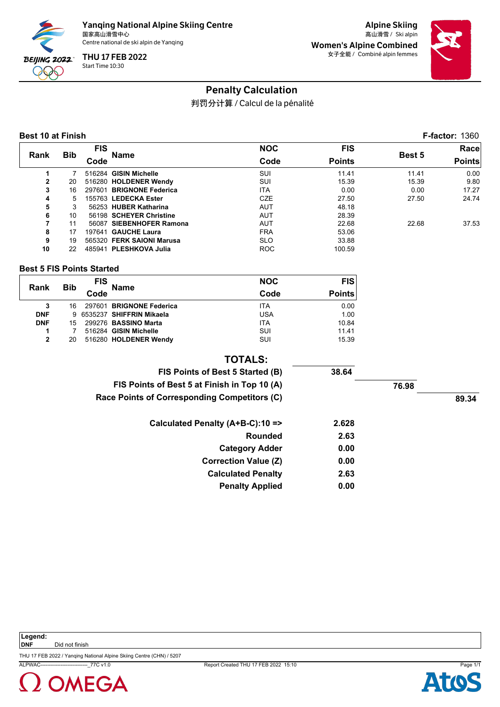

Alpine Skiing Women's Alpine Combined 女子全能 / Combiné alpin femmes



## Penalty Calculation

判罚分计算 / Calcul de la pénalité

#### **Best 10 at Finish F-factor:** 1360

|              | <b>Bib</b><br>Rank | FIS    |                           | <b>NOC</b> | <b>FIS</b>    |        | Race          |
|--------------|--------------------|--------|---------------------------|------------|---------------|--------|---------------|
|              |                    | Code   | Name                      | Code       | <b>Points</b> | Best 5 | <b>Points</b> |
|              |                    |        | 516284 GISIN Michelle     | SUI        | 11.41         | 11.41  | 0.00          |
| $\mathbf{2}$ | 20                 |        | 516280 HOLDENER Wendy     | SUI        | 15.39         | 15.39  | 9.80          |
| 3            | 16                 | 297601 | <b>BRIGNONE Federica</b>  | <b>ITA</b> | 0.00          | 0.00   | 17.27         |
| 4            | 5                  |        | 155763 LEDECKA Ester      | CZE        | 27.50         | 27.50  | 24.74         |
| 5            | 3                  |        | 56253 HUBER Katharina     | <b>AUT</b> | 48.18         |        |               |
| 6            | 10                 |        | 56198 SCHEYER Christine   | <b>AUT</b> | 28.39         |        |               |
| 7            | 11                 | 56087  | <b>SIEBENHOFER Ramona</b> | <b>AUT</b> | 22.68         | 22.68  | 37.53         |
| 8            | 17                 | 197641 | <b>GAUCHE Laura</b>       | <b>FRA</b> | 53.06         |        |               |
| 9            | 19                 | 565320 | <b>FERK SAIONI Marusa</b> | <b>SLO</b> | 33.88         |        |               |
| 10           | 22                 | 485941 | <b>PLESHKOVA Julia</b>    | <b>ROC</b> | 100.59        |        |               |

#### **Best 5 FIS Points Started**

| Rank       |            | <b>FIS</b> | <b>Name</b>                | <b>NOC</b> | <b>FIS</b>    |
|------------|------------|------------|----------------------------|------------|---------------|
|            | <b>Bib</b> | Code       |                            | Code       | <b>Points</b> |
| 3          | 16         |            | 297601 BRIGNONE Federica   | <b>ITA</b> | 0.00          |
| <b>DNF</b> |            |            | 9 6535237 SHIFFRIN Mikaela | <b>USA</b> | 1.00          |
| <b>DNF</b> | 15         |            | 299276 BASSINO Marta       | <b>ITA</b> | 10.84         |
|            |            |            | 516284 GISIN Michelle      | SUI        | 11.41         |
| 2          | 20         |            | 516280 HOLDENER Wendy      | SUI        | 15.39         |

#### **TOTALS:**

| FIS Points of Best 5 Started (B)             | 38.64 |       |       |
|----------------------------------------------|-------|-------|-------|
| FIS Points of Best 5 at Finish in Top 10 (A) |       | 76.98 |       |
| Race Points of Corresponding Competitors (C) |       |       | 89.34 |
| Calculated Penalty (A+B-C):10 =>             | 2.628 |       |       |
| Rounded                                      | 2.63  |       |       |
| <b>Category Adder</b>                        | 0.00  |       |       |
| <b>Correction Value (Z)</b>                  | 0.00  |       |       |
| <b>Calculated Penalty</b>                    | 2.63  |       |       |
| <b>Penalty Applied</b>                       | 0.00  |       |       |

Ato

**Legend: DNF** Did not finish

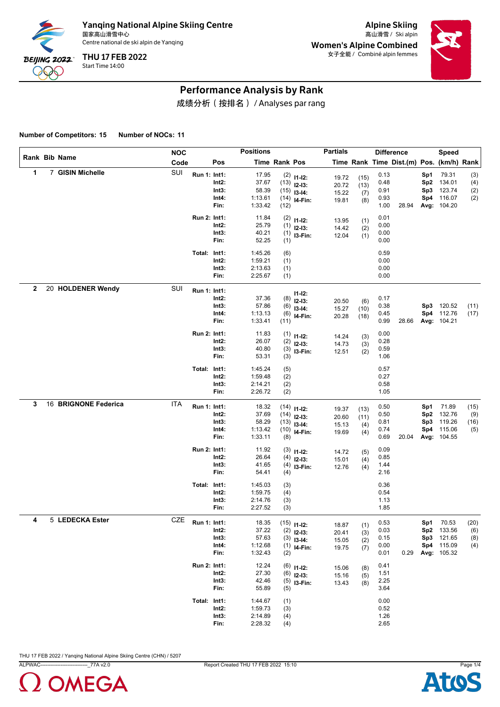

Alpine Skiing Women's Alpine Combined 女子全能 / Combiné alpin femmes



#### Performance Analysis by Rank

成绩分析(按排名) / Analyses par rang

**Number of Competitors: 15 Number of NOCs: 11**

|   |                      | <b>NOC</b> |              |                                 | <b>Positions</b>                              |                          |                                                                   | <b>Partials</b>                  |                            | <b>Difference</b>                    |                                          |                               | <b>Speed</b>                                                       |                            |
|---|----------------------|------------|--------------|---------------------------------|-----------------------------------------------|--------------------------|-------------------------------------------------------------------|----------------------------------|----------------------------|--------------------------------------|------------------------------------------|-------------------------------|--------------------------------------------------------------------|----------------------------|
|   | Rank Bib Name        | Code       |              | Pos                             |                                               | Time Rank Pos            |                                                                   |                                  |                            |                                      | Time Rank Time Dist.(m) Pos. (km/h) Rank |                               |                                                                    |                            |
| 1 | 7 GISIN Michelle     | SUI        | Run 1: Int1: | Int2:<br>Int3:<br>Int4:<br>Fin: | 17.95<br>37.67<br>58.39<br>1:13.61<br>1:33.42 | (12)                     | $(2)$ 11-12:<br>$(13)$ 12-13:<br>$(15)$ 13-14:<br>$(14)$ 14-Fin:  | 19.72<br>20.72<br>15.22<br>19.81 | (15)<br>(13)<br>(7)<br>(8) | 0.13<br>0.48<br>0.91<br>0.93<br>1.00 | 28.94                                    | Sp1<br>Sp2<br>Sp3             | 79.31<br>134.01<br>123.74<br>Sp4 116.07<br>Avg: 104.20             | (3)<br>(4)<br>(2)<br>(2)   |
|   |                      |            | Run 2: Int1: | Int2:<br>Int3:<br>Fin:          | 11.84<br>25.79<br>40.21<br>52.25              | (2)<br>(1)<br>(1)        | $11 - 12$ :<br>$12-13:$<br>$(1)$ 13-Fin:                          | 13.95<br>14.42<br>12.04          | (1)<br>(2)<br>(1)          | 0.01<br>0.00<br>0.00<br>0.00         |                                          |                               |                                                                    |                            |
|   |                      |            | Total: Int1: | Int2:<br>Int3:<br>Fin:          | 1:45.26<br>1:59.21<br>2:13.63<br>2:25.67      | (6)<br>(1)<br>(1)<br>(1) |                                                                   |                                  |                            | 0.59<br>0.00<br>0.00<br>0.00         |                                          |                               |                                                                    |                            |
| 2 | 20 HOLDENER Wendy    | SUI        | Run 1: Int1: | Int2:<br>Int3:<br>Int4:<br>Fin: | 37.36<br>57.86<br>1:13.13<br>1:33.41          | (8)<br>(6)<br>(11)       | $11 - 12$ :<br>$12 - 13:$<br>$13-14:$<br>$(6)$ 14-Fin:            | 20.50<br>15.27<br>20.28          | (6)<br>(10)<br>(18)        | 0.17<br>0.38<br>0.45<br>0.99         | 28.66                                    |                               | Sp3 120.52<br>Sp4 112.76<br>Avg: 104.21                            | (11)<br>(17)               |
|   |                      |            | Run 2: Int1: | Int2:<br>Int3:<br>Fin:          | 11.83<br>26.07<br>40.80<br>53.31              | (1)<br>(2)<br>(3)        | $11 - 12$ :<br>$12-13:$<br>$(3)$ 13-Fin:                          | 14.24<br>14.73<br>12.51          | (3)<br>(3)<br>(2)          | 0.00<br>0.28<br>0.59<br>1.06         |                                          |                               |                                                                    |                            |
|   |                      |            | Total: Int1: | Int2:<br>Int3:<br>Fin:          | 1:45.24<br>1:59.48<br>2:14.21<br>2:26.72      | (5)<br>(2)<br>(2)<br>(2) |                                                                   |                                  |                            | 0.57<br>0.27<br>0.58<br>1.05         |                                          |                               |                                                                    |                            |
| 3 | 16 BRIGNONE Federica | <b>ITA</b> | Run 1: Int1: | Int2:<br>Int3:<br>Int4:<br>Fin: | 18.32<br>37.69<br>58.29<br>1:13.42<br>1:33.11 | (8)                      | $(14)$ 11-12:<br>$(14)$ 12-13:<br>$(13)$ 13-14:<br>$(10)$ 14-Fin: | 19.37<br>20.60<br>15.13<br>19.69 | (13)<br>(11)<br>(4)<br>(4) | 0.50<br>0.50<br>0.81<br>0.74<br>0.69 | 20.04                                    | Sp1<br>Sp <sub>2</sub><br>Sp3 | 71.89<br>132.76<br>119.26<br>Sp4 115.06<br>Avg: 104.55             | (15)<br>(9)<br>(16)<br>(5) |
|   |                      |            | Run 2: Int1: | Int2:<br>Int3:<br>Fin:          | 11.92<br>26.64<br>41.65<br>54.41              | (3)<br>(4)<br>(4)        | $11 - 12$ :<br>$12-13:$<br>$(4)$ 13-Fin:                          | 14.72<br>15.01<br>12.76          | (5)<br>(4)<br>(4)          | 0.09<br>0.85<br>1.44<br>2.16         |                                          |                               |                                                                    |                            |
|   |                      |            | Total: Int1: | Int2:<br>Int3:<br>Fin:          | 1:45.03<br>1:59.75<br>2:14.76<br>2:27.52      | (3)<br>(4)<br>(3)<br>(3) |                                                                   |                                  |                            | 0.36<br>0.54<br>1.13<br>1.85         |                                          |                               |                                                                    |                            |
| 4 | 5 LEDECKA Ester      | <b>CZE</b> | Run 1: Int1: | Int2:<br>Int3:<br>Int4:<br>Fin: | 18.35<br>37.22<br>57.63<br>1:12.68<br>1:32.43 | (2)                      | $(15)$ 11-12:<br>$(2)$ 12-13:<br>$(3)$ 13-14:<br>$(1)$ 14-Fin:    | 18.87<br>20.41<br>15.05<br>19.75 | (1)<br>(3)<br>(2)<br>(7)   | 0.53<br>0.03<br>0.15<br>0.00<br>0.01 | 0.29                                     |                               | Sp1 70.53<br>Sp2 133.56<br>Sp3 121.65<br>Sp4 115.09<br>Avg: 105.32 | (20)<br>(6)<br>(8)<br>(4)  |
|   |                      |            | Run 2: Int1: | Int2:<br>Int3:<br>Fin:          | 12.24<br>27.30<br>42.46<br>55.89              | (6)<br>(5)               | $(6)$ 11-12:<br>$12-13:$<br>$(5)$ 13-Fin:                         | 15.06<br>15.16<br>13.43          | (8)<br>(5)<br>(8)          | 0.41<br>1.51<br>2.25<br>3.64         |                                          |                               |                                                                    |                            |
|   |                      |            | Total: Int1: | $Int2$ :<br>Int3:<br>Fin:       | 1:44.67<br>1:59.73<br>2:14.89<br>2:28.32      | (1)<br>(3)<br>(4)<br>(4) |                                                                   |                                  |                            | 0.00<br>0.52<br>1.26<br>2.65         |                                          |                               |                                                                    |                            |



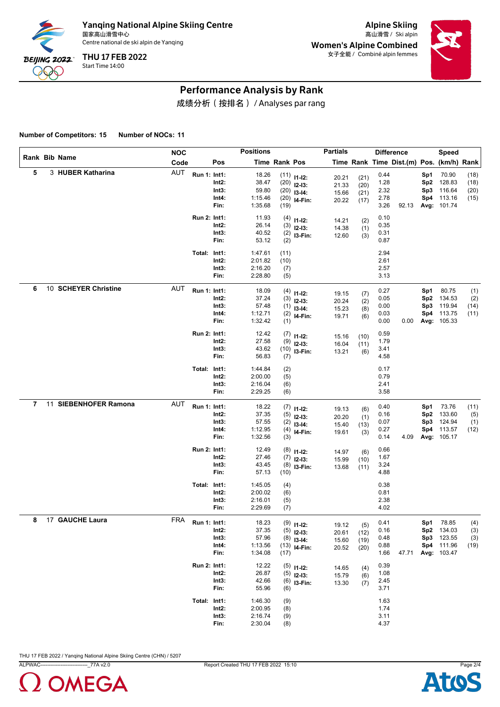

Alpine Skiing Women's Alpine Combined 女子全能 / Combiné alpin femmes



#### Performance Analysis by Rank

成绩分析(按排名) / Analyses par rang

**Number of Competitors: 15 Number of NOCs: 11**

|   |                       | <b>NOC</b> |              |                                 | <b>Positions</b>                              |                            |                                                                      | <b>Partials</b>                  |                              | <b>Difference</b>                    |                                          |                                      | Speed                                                      |                              |
|---|-----------------------|------------|--------------|---------------------------------|-----------------------------------------------|----------------------------|----------------------------------------------------------------------|----------------------------------|------------------------------|--------------------------------------|------------------------------------------|--------------------------------------|------------------------------------------------------------|------------------------------|
|   | <b>Rank Bib Name</b>  | Code       |              | Pos                             |                                               | Time Rank Pos              |                                                                      |                                  |                              |                                      | Time Rank Time Dist.(m) Pos. (km/h) Rank |                                      |                                                            |                              |
| 5 | 3 HUBER Katharina     | AUT        | Run 1: Int1: | Int2:<br>Int3:<br>Int4:<br>Fin: | 18.26<br>38.47<br>59.80<br>1:15.46<br>1:35.68 | (19)                       | $(11)$ $11-12$ :<br>$(20)$ 12-13:<br>$(20)$ 13-14:<br>$(20)$ 14-Fin: | 20.21<br>21.33<br>15.66<br>20.22 | (21)<br>(20)<br>(21)<br>(17) | 0.44<br>1.28<br>2.32<br>2.78<br>3.26 | 92.13                                    | Sp1<br>Sp2<br>Sp3<br>Sp4             | 70.90<br>128.83<br>116.64<br>113.16<br>Avg: 101.74         | (18)<br>(18)<br>(20)<br>(15) |
|   |                       |            | Run 2: Int1: | Int2:<br>Int3:<br>Fin:          | 11.93<br>26.14<br>40.52<br>53.12              | (4)<br>(3)<br>(2)          | $11 - 12$ :<br>$12 - 13:$<br>$(2)$ 13-Fin:                           | 14.21<br>14.38<br>12.60          | (2)<br>(1)<br>(3)            | 0.10<br>0.35<br>0.31<br>0.87         |                                          |                                      |                                                            |                              |
|   |                       |            | Total: Int1: | Int2:<br>Int3:<br>Fin:          | 1:47.61<br>2:01.82<br>2:16.20<br>2:28.80      | (11)<br>(10)<br>(7)<br>(5) |                                                                      |                                  |                              | 2.94<br>2.61<br>2.57<br>3.13         |                                          |                                      |                                                            |                              |
| 6 | 10 SCHEYER Christine  | <b>AUT</b> | Run 1: Int1: | Int2:<br>Int3:<br>Int4:<br>Fin: | 18.09<br>37.24<br>57.48<br>1:12.71<br>1:32.42 | (1)                        | $(4)$ 11-12:<br>$(3)$ 12-13:<br>$(1)$ 13-14:<br>$(2)$ 14-Fin:        | 19.15<br>20.24<br>15.23<br>19.71 | (7)<br>(2)<br>(8)<br>(6)     | 0.27<br>0.05<br>0.00<br>0.03<br>0.00 | 0.00                                     | Sp1<br>Sp <sub>2</sub><br>Sp3<br>Sp4 | 80.75<br>134.53<br>119.94<br>113.75<br>Avg: 105.33         | (1)<br>(2)<br>(14)<br>(11)   |
|   |                       |            | Run 2: Int1: | Int2:<br>Int3:<br>Fin:          | 12.42<br>27.58<br>43.62<br>56.83              | (7)<br>(9)<br>(7)          | $11 - 12$ :<br>$12-13:$<br>$(10)$ 13-Fin:                            | 15.16<br>16.04<br>13.21          | (10)<br>(11)<br>(6)          | 0.59<br>1.79<br>3.41<br>4.58         |                                          |                                      |                                                            |                              |
|   |                       |            | Total: Int1: | Int2:<br>Int3:<br>Fin:          | 1:44.84<br>2:00.00<br>2:16.04<br>2:29.25      | (2)<br>(5)<br>(6)<br>(6)   |                                                                      |                                  |                              | 0.17<br>0.79<br>2.41<br>3.58         |                                          |                                      |                                                            |                              |
| 7 | 11 SIEBENHOFER Ramona | <b>AUT</b> | Run 1: Int1: | Int2:<br>Int3:<br>Int4:<br>Fin: | 18.22<br>37.35<br>57.55<br>1:12.95<br>1:32.56 | (5)<br>(3)                 | $(7)$ 11-12:<br>$12 - 13:$<br>$(2)$ 13-14:<br>$(4)$ 14-Fin:          | 19.13<br>20.20<br>15.40<br>19.61 | (6)<br>(1)<br>(13)<br>(3)    | 0.40<br>0.16<br>0.07<br>0.27<br>0.14 | 4.09                                     | Sp1<br>Sp <sub>2</sub><br>Sp3<br>Sp4 | 73.76<br>133.60<br>124.94<br>113.57<br>Avg: 105.17         | (11)<br>(5)<br>(1)<br>(12)   |
|   |                       |            | Run 2: Int1: | Int2:<br>Int3:<br>Fin:          | 12.49<br>27.46<br>43.45<br>57.13              | (8)<br>(7)<br>(8)<br>(10)  | $11 - 12$ :<br>$12-13:$<br>I3-Fin:                                   | 14.97<br>15.99<br>13.68          | (6)<br>(10)<br>(11)          | 0.66<br>1.67<br>3.24<br>4.88         |                                          |                                      |                                                            |                              |
|   |                       |            | Total: Int1: | Int2:<br>Int3:<br>Fin:          | 1:45.05<br>2:00.02<br>2:16.01<br>2:29.69      | (4)<br>(6)<br>(5)<br>(7)   |                                                                      |                                  |                              | 0.38<br>0.81<br>2.38<br>4.02         |                                          |                                      |                                                            |                              |
| 8 | 17 GAUCHE Laura       | <b>FRA</b> | Run 1: Int1: | Int2:<br>Int3:<br>Int4:<br>Fin: | 18.23<br>37.35<br>57.96<br>1:13.56<br>1:34.08 | (5)<br>(17)                | $(9)$ 11-12:<br>$12-13:$<br>$(8)$ 13-14:<br>$(13)$ 14-Fin:           | 19.12<br>20.61<br>15.60<br>20.52 | (5)<br>(12)<br>(19)<br>(20)  | 0.41<br>0.16<br>0.48<br>0.88<br>1.66 | 47.71                                    | Sp1<br>Sp3                           | 78.85<br>Sp2 134.03<br>123.55<br>Sp4 111.96<br>Avg: 103.47 | (4)<br>(3)<br>(3)<br>(19)    |
|   |                       |            | Run 2: Int1: | Int2:<br>Int3:<br>Fin:          | 12.22<br>26.87<br>42.66<br>55.96              | (6)                        | $(5)$ 11-12:<br>$(5)$ 12-13:<br>$(6)$ 13-Fin:                        | 14.65<br>15.79<br>13.30          | (4)<br>(6)<br>(7)            | 0.39<br>1.08<br>2.45<br>3.71         |                                          |                                      |                                                            |                              |
|   |                       |            | Total: Int1: | $Int2$ :<br>Int3:<br>Fin:       | 1:46.30<br>2:00.95<br>2:16.74<br>2:30.04      | (9)<br>(8)<br>(9)<br>(8)   |                                                                      |                                  |                              | 1.63<br>1.74<br>3.11<br>4.37         |                                          |                                      |                                                            |                              |



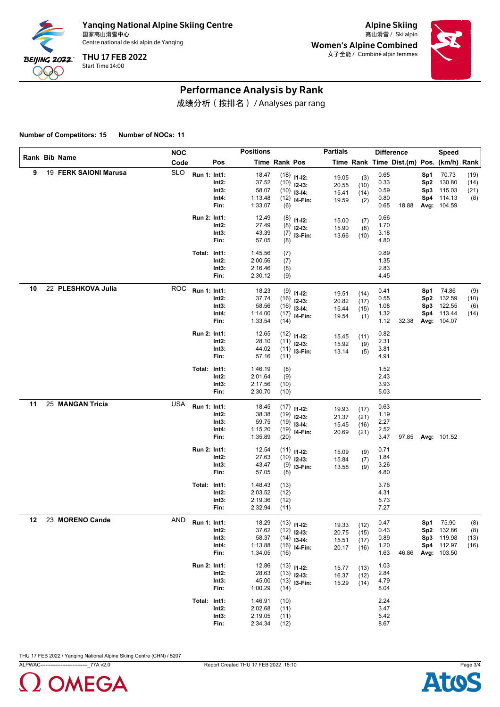

Alpine Skiing Women's Alpine Combined 女子全能 / Combiné alpin femmes



#### Performance Analysis by Rank

成绩分析(按排名) / Analyses par rang

**Number of Competitors: 15 Number of NOCs: 11**

|    |                       | <b>NOC</b> |              |                                 | <b>Positions</b>                              |                              |                                                                   | <b>Partials</b>                  |                              | <b>Difference</b>                    |                                          |                          | Speed                                                          |                             |
|----|-----------------------|------------|--------------|---------------------------------|-----------------------------------------------|------------------------------|-------------------------------------------------------------------|----------------------------------|------------------------------|--------------------------------------|------------------------------------------|--------------------------|----------------------------------------------------------------|-----------------------------|
|    | <b>Rank Bib Name</b>  | Code       |              | Pos                             |                                               | Time Rank Pos                |                                                                   |                                  |                              |                                      | Time Rank Time Dist.(m) Pos. (km/h) Rank |                          |                                                                |                             |
| 9  | 19 FERK SAIONI Marusa | <b>SLO</b> | Run 1: Int1: | Int2:<br>Int3:<br>Int4:<br>Fin: | 18.47<br>37.52<br>58.07<br>1:13.48<br>1:33.07 | (6)                          | $(18)$ 11-12:<br>$(10)$ 12-13:<br>$(10)$ 13-14:<br>$(12)$ 14-Fin: | 19.05<br>20.55<br>15.41<br>19.59 | (3)<br>(10)<br>(14)<br>(2)   | 0.65<br>0.33<br>0.59<br>0.80<br>0.65 | 18.88                                    | Sp1<br>Sp2<br>Sp3<br>Sp4 | 70.73<br>130.80<br>115.03<br>114.13<br>Avg: 104.59             | (19)<br>(14)<br>(21)<br>(8) |
|    |                       |            | Run 2: Int1: | Int2:<br>Int3:<br>Fin:          | 12.49<br>27.49<br>43.39<br>57.05              | (8)<br>(8)<br>(7)<br>(8)     | $11 - 12$ :<br>$12 - 13:$<br>I3-Fin:                              | 15.00<br>15.90<br>13.66          | (7)<br>(8)<br>(10)           | 0.66<br>1.70<br>3.18<br>4.80         |                                          |                          |                                                                |                             |
|    |                       |            | Total: Int1: | Int2:<br>Int3:<br>Fin:          | 1:45.56<br>2:00.56<br>2:16.46<br>2:30.12      | (7)<br>(7)<br>(8)<br>(9)     |                                                                   |                                  |                              | 0.89<br>1.35<br>2.83<br>4.45         |                                          |                          |                                                                |                             |
| 10 | 22 PLESHKOVA Julia    | <b>ROC</b> | Run 1: Int1: | Int2:<br>Int3:<br>Int4:<br>Fin: | 18.23<br>37.74<br>58.56<br>1:14.00<br>1:33.54 | (14)                         | $(9)$ 11-12:<br>$(16)$ 12-13:<br>$(16)$ 13-14:<br>$(17)$ 14-Fin:  | 19.51<br>20.82<br>15.44<br>19.54 | (14)<br>(17)<br>(15)<br>(1)  | 0.41<br>0.55<br>1.08<br>1.32<br>1.12 | 32.38                                    | Sp1<br>Sp2<br>Sp3<br>Sp4 | 74.86<br>132.59<br>122.55<br>113.44<br>Avg: 104.07             | (9)<br>(10)<br>(6)<br>(14)  |
|    |                       |            | Run 2: Int1: | Int2:<br>Int3:<br>Fin:          | 12.65<br>28.10<br>44.02<br>57.16              | (11)                         | $(12)$ 11-12:<br>$(11)$ 12-13:<br>$(11)$ 13-Fin:                  | 15.45<br>15.92<br>13.14          | (11)<br>(9)<br>(5)           | 0.82<br>2.31<br>3.81<br>4.91         |                                          |                          |                                                                |                             |
|    |                       |            | Total: Int1: | Int2:<br>Int3:<br>Fin:          | 1:46.19<br>2:01.64<br>2:17.56<br>2:30.70      | (8)<br>(9)<br>(10)<br>(10)   |                                                                   |                                  |                              | 1.52<br>2.43<br>3.93<br>5.03         |                                          |                          |                                                                |                             |
| 11 | 25 MANGAN Tricia      | <b>USA</b> | Run 1: Int1: | Int2:<br>Int3:<br>Int4:<br>Fin: | 18.45<br>38.38<br>59.75<br>1:15.20<br>1:35.89 | (20)                         | $(17)$ 11-12:<br>$(19)$ 12-13:<br>$(19)$ 13-14:<br>$(19)$ 14-Fin: | 19.93<br>21.37<br>15.45<br>20.69 | (17)<br>(21)<br>(16)<br>(21) | 0.63<br>1.19<br>2.27<br>2.52<br>3.47 |                                          |                          | 97.85 Avg: 101.52                                              |                             |
|    |                       |            | Run 2: Int1: | Int2:<br>Int3:<br>Fin:          | 12.54<br>27.63<br>43.47<br>57.05              | (8)                          | $(11)$ $11-12$ :<br>$(10)$ 12-13:<br>$(9)$ 13-Fin:                | 15.09<br>15.84<br>13.58          | (9)<br>(7)<br>(9)            | 0.71<br>1.84<br>3.26<br>4.80         |                                          |                          |                                                                |                             |
|    |                       |            | Total: Int1: | Int2:<br>Int3:<br>Fin:          | 1:48.43<br>2:03.52<br>2:19.36<br>2:32.94      | (13)<br>(12)<br>(12)<br>(11) |                                                                   |                                  |                              | 3.76<br>4.31<br>5.73<br>7.27         |                                          |                          |                                                                |                             |
| 12 | 23 MORENO Cande       | AND        | Run 1: Int1: | Int2:<br>Int3:<br>Int4:<br>Fin: | 18.29<br>37.62<br>58.37<br>1:13.88<br>1:34.05 | (16)                         | $(13)$ 11-12:<br>$(12)$ 12-13:<br>$(14)$ 13-14:<br>$(16)$ 14-Fin: | 19.33<br>20.75<br>15.51<br>20.17 | (12)<br>(15)<br>(17)<br>(16) | 0.47<br>0.43<br>0.89<br>1.20<br>1.63 | 46.86                                    | Sp3                      | Sp1 75.90<br>Sp2 132.86<br>119.98<br>Sp4 112.97<br>Avg: 103.50 | (8)<br>(8)<br>(13)<br>(16)  |
|    |                       |            | Run 2: Int1: | Int2:<br>Int3:<br>Fin:          | 12.86<br>28.63<br>45.00<br>1:00.29            | (14)                         | $(13)$ 11-12:<br>$(13)$ 12-13:<br>$(13)$ 13-Fin:                  | 15.77<br>16.37<br>15.29          | (13)<br>(12)<br>(14)         | 1.03<br>2.84<br>4.79<br>8.04         |                                          |                          |                                                                |                             |
|    |                       |            | Total: Int1: | $Int2$ :<br>Int3:<br>Fin:       | 1:46.91<br>2:02.68<br>2:19.05<br>2:34.34      | (10)<br>(11)<br>(11)<br>(12) |                                                                   |                                  |                              | 2.24<br>3.47<br>5.42<br>8.67         |                                          |                          |                                                                |                             |



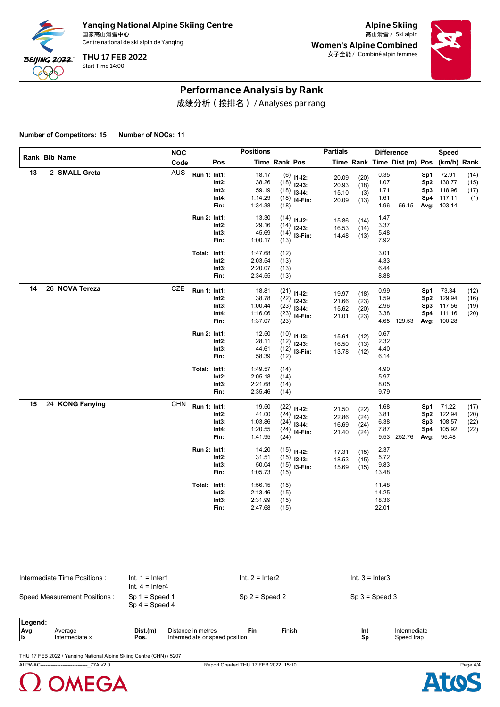

Alpine Skiing Women's Alpine Combined 女子全能 / Combiné alpin femmes



#### Performance Analysis by Rank

成绩分析(按排名) / Analyses par rang

**Number of Competitors: 15 Number of NOCs: 11**

|    |                 | <b>NOC</b> |              |          | <b>Positions</b> |               |                | <b>Partials</b> |              |       | <b>Difference</b>                        |                 | <b>Speed</b> |      |
|----|-----------------|------------|--------------|----------|------------------|---------------|----------------|-----------------|--------------|-------|------------------------------------------|-----------------|--------------|------|
|    | Rank Bib Name   | Code       |              | Pos      |                  | Time Rank Pos |                |                 |              |       | Time Rank Time Dist.(m) Pos. (km/h) Rank |                 |              |      |
| 13 | 2 SMALL Greta   | <b>AUS</b> | Run 1: Int1: |          | 18.17            |               | $(6)$ 11-12:   | 20.09           | (20)         | 0.35  |                                          | Sp1             | 72.91        | (14) |
|    |                 |            |              | Int2:    | 38.26            |               | $(18)$ 12-13:  | 20.93           | (18)         | 1.07  |                                          | Sp <sub>2</sub> | 130.77       | (15) |
|    |                 |            |              | Int3:    | 59.19            |               | $(18)$ 13-14:  | 15.10           | (3)          | 1.71  |                                          | Sp3             | 118.96       | (17) |
|    |                 |            |              | Int4:    | 1:14.29          |               | $(18)$ 14-Fin: | 20.09           | (13)         | 1.61  |                                          |                 | Sp4 117.11   | (1)  |
|    |                 |            |              | Fin:     | 1:34.38          | (18)          |                |                 |              | 1.96  | 56.15                                    |                 | Avg: 103.14  |      |
|    |                 |            | Run 2: Int1: |          | 13.30            |               | $(14)$ 11-12:  | 15.86           | (14)         | 1.47  |                                          |                 |              |      |
|    |                 |            |              | Int2:    | 29.16            |               | $(14)$ 12-13:  | 16.53           | (14)         | 3.37  |                                          |                 |              |      |
|    |                 |            |              | Int3:    | 45.69            |               | $(14)$ 13-Fin: | 14.48           | (13)         | 5.48  |                                          |                 |              |      |
|    |                 |            |              | Fin:     | 1:00.17          | (13)          |                |                 |              | 7.92  |                                          |                 |              |      |
|    |                 |            | Total: Int1: |          | 1:47.68          | (12)          |                |                 |              | 3.01  |                                          |                 |              |      |
|    |                 |            |              | Int2:    | 2:03.54          | (13)          |                |                 |              | 4.33  |                                          |                 |              |      |
|    |                 |            |              | Int3:    | 2:20.07          | (13)          |                |                 |              | 6.44  |                                          |                 |              |      |
|    |                 |            |              | Fin:     | 2:34.55          | (13)          |                |                 |              | 8.88  |                                          |                 |              |      |
| 14 | 26 NOVA Tereza  | CZE        | Run 1: Int1: |          | 18.81            |               | $(21)$ 11-12:  |                 |              | 0.99  |                                          | Sp1             | 73.34        | (12) |
|    |                 |            |              | Int2:    | 38.78            |               | $(22)$ 12-13:  | 19.97<br>21.66  | (18)<br>(23) | 1.59  |                                          | Sp2             | 129.94       | (16) |
|    |                 |            |              | Int3:    | 1:00.44          |               | $(23)$ 13-14:  | 15.62           | (20)         | 2.96  |                                          |                 | Sp3 117.56   | (19) |
|    |                 |            |              | Int4:    | 1:16.06          |               | $(23)$ 14-Fin: | 21.01           | (23)         | 3.38  |                                          |                 | Sp4 111.16   | (20) |
|    |                 |            |              | Fin:     | 1:37.07          | (23)          |                |                 |              |       | 4.65 129.53                              |                 | Avg: 100.28  |      |
|    |                 |            | Run 2: Int1: |          | 12.50            |               | $(10)$ 11-12:  | 15.61           | (12)         | 0.67  |                                          |                 |              |      |
|    |                 |            |              | Int2:    | 28.11            |               | $(12)$ 12-13:  | 16.50           | (13)         | 2.32  |                                          |                 |              |      |
|    |                 |            |              | Int3:    | 44.61            |               | $(12)$ 13-Fin: | 13.78           | (12)         | 4.40  |                                          |                 |              |      |
|    |                 |            |              | Fin:     | 58.39            | (12)          |                |                 |              | 6.14  |                                          |                 |              |      |
|    |                 |            | Total: Int1: |          | 1:49.57          | (14)          |                |                 |              | 4.90  |                                          |                 |              |      |
|    |                 |            |              | Int2:    | 2:05.18          | (14)          |                |                 |              | 5.97  |                                          |                 |              |      |
|    |                 |            |              | Int3:    | 2:21.68          | (14)          |                |                 |              | 8.05  |                                          |                 |              |      |
|    |                 |            |              | Fin:     | 2:35.46          | (14)          |                |                 |              | 9.79  |                                          |                 |              |      |
| 15 | 24 KONG Fanying | <b>CHN</b> | Run 1: Int1: |          | 19.50            |               | $(22)$ 11-12:  | 21.50           | (22)         | 1.68  |                                          | Sp1             | 71.22        | (17) |
|    |                 |            |              | $Int2$ : | 41.00            |               | $(24)$ 12-13:  | 22.86           | (24)         | 3.81  |                                          | Sp2             | 122.94       | (20) |
|    |                 |            |              | Int3:    | 1:03.86          |               | $(24)$ 13-14:  | 16.69           | (24)         | 6.38  |                                          | Sp3             | 108.57       | (22) |
|    |                 |            |              | Int4:    | 1:20.55          |               | $(24)$ 14-Fin: | 21.40           | (24)         | 7.87  |                                          |                 | Sp4 105.92   | (22) |
|    |                 |            |              | Fin:     | 1:41.95          | (24)          |                |                 |              |       | 9.53 252.76                              | Avg:            | 95.48        |      |
|    |                 |            | Run 2: Int1: |          | 14.20            |               | $(15)$ 11-12:  | 17.31           | (15)         | 2.37  |                                          |                 |              |      |
|    |                 |            |              | Int2:    | 31.51            |               | $(15)$ 12-13:  | 18.53           | (15)         | 5.72  |                                          |                 |              |      |
|    |                 |            |              | Int3:    | 50.04            |               | $(15)$ 13-Fin: | 15.69           | (15)         | 9.83  |                                          |                 |              |      |
|    |                 |            |              | Fin:     | 1:05.73          | (15)          |                |                 |              | 13.48 |                                          |                 |              |      |
|    |                 |            | Total: Int1: |          | 1:56.15          | (15)          |                |                 |              | 11.48 |                                          |                 |              |      |
|    |                 |            |              | Int2:    | 2:13.46          | (15)          |                |                 |              | 14.25 |                                          |                 |              |      |
|    |                 |            |              | Int3:    | 2:31.99          | (15)          |                |                 |              | 18.36 |                                          |                 |              |      |
|    |                 |            |              | Fin:     | 2:47.68          | (15)          |                |                 |              | 22.01 |                                          |                 |              |      |
|    |                 |            |              |          |                  |               |                |                 |              |       |                                          |                 |              |      |
|    |                 |            |              |          |                  |               |                |                 |              |       |                                          |                 |              |      |

| Intermediate Time Positions:  | $Int. 1 = Inter1$<br>Int. $4 =$ Inter4 | $Int. 2 = Inter2$ | $Int. 3 = Inter3$ |
|-------------------------------|----------------------------------------|-------------------|-------------------|
| Speed Measurement Positions : | $Sp 1 = Speed 1$<br>$Sp 4 = Speed 4$   | $Sp 2 = Speed 2$  | $Sp 3 = Speed 3$  |
| Legend:                       |                                        |                   |                   |

| Leuenu. |                |          |                                |     |        |     |              |  |
|---------|----------------|----------|--------------------------------|-----|--------|-----|--------------|--|
| ∣Ava    | Average        | Dist.(m) | Distance in metres             | Fin | ≂inish | Int | Intermediate |  |
| llx     | Intermediate x | Pos.     | Intermediate or speed position |     |        | So  | speed trap   |  |
|         |                |          |                                |     |        |     |              |  |

THU 17 FEB 2022 / Yanqing National Alpine Skiing Centre (CHN) / 5207

ALPWAC----------------------------\_77A v2.0 Report Created THU 17 FEB 2022 15:10 Page 4/4



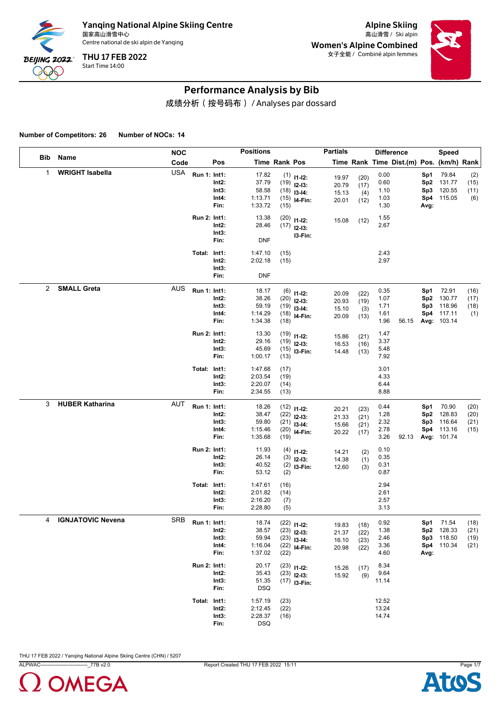

Alpine Skiing Women's Alpine Combined 女子全能 / Combiné alpin femmes



## Performance Analysis by Bib

成绩分析(按号码布) / Analyses par dossard

**Number of Competitors: 26 Number of NOCs: 14**

|     |                          | <b>NOC</b> |              |                                 | <b>Positions</b>                              |                              |                                                                             | <b>Partials</b>                  |                              | <b>Difference</b>                    |                                          |                                  | <b>Speed</b>                                           |                              |
|-----|--------------------------|------------|--------------|---------------------------------|-----------------------------------------------|------------------------------|-----------------------------------------------------------------------------|----------------------------------|------------------------------|--------------------------------------|------------------------------------------|----------------------------------|--------------------------------------------------------|------------------------------|
| Bib | Name                     | Code       |              | Pos                             |                                               | Time Rank Pos                |                                                                             |                                  |                              |                                      | Time Rank Time Dist.(m) Pos. (km/h) Rank |                                  |                                                        |                              |
| 1   | <b>WRIGHT Isabella</b>   | <b>USA</b> | Run 1: Int1: | Int2:<br>Int3:<br>Int4:<br>Fin: | 17.82<br>37.79<br>58.58<br>1:13.71<br>1:33.72 | (15)                         | $(1)$ 11-12:<br>$(19)$ 12-13:<br>$(18)$ 13-14:<br>$(15)$ 14-Fin:            | 19.97<br>20.79<br>15.13<br>20.01 | (20)<br>(17)<br>(4)<br>(12)  | 0.00<br>0.60<br>1.10<br>1.03<br>1.30 |                                          | Sp1<br>Sp2<br>Sp3<br>Sp4<br>Avg: | 79.84<br>131.77<br>120.55<br>115.05                    | (2)<br>(15)<br>(11)<br>(6)   |
|     |                          |            | Run 2: Int1: | Int2:<br>Int3:<br>Fin:          | 13.38<br>28.46<br><b>DNF</b>                  | (20)                         | $11 - 12$ :<br>$(17)$ 12-13:<br>I3-Fin:                                     | 15.08                            | (12)                         | 1.55<br>2.67                         |                                          |                                  |                                                        |                              |
|     |                          |            | Total: Int1: | Int2:<br>Int3:<br>Fin:          | 1:47.10<br>2:02.18<br><b>DNF</b>              | (15)<br>(15)                 |                                                                             |                                  |                              | 2.43<br>2.97                         |                                          |                                  |                                                        |                              |
| 2   | <b>SMALL Greta</b>       | <b>AUS</b> | Run 1: Int1: | Int2:<br>Int3:<br>Int4:<br>Fin: | 18.17<br>38.26<br>59.19<br>1:14.29<br>1:34.38 | (18)                         | $(6)$ 11-12:<br>$(20)$ 12-13:<br>$(19)$ 13-14:<br>$(18)$ <sub>14-Fin:</sub> | 20.09<br>20.93<br>15.10<br>20.09 | (22)<br>(19)<br>(3)<br>(13)  | 0.35<br>1.07<br>1.71<br>1.61<br>1.96 | 56.15                                    | Sp1<br>Sp2<br>Sp3<br>Sp4         | 72.91<br>130.77<br>118.96<br>117.11<br>Avg: 103.14     | (16)<br>(17)<br>(18)<br>(1)  |
|     |                          |            | Run 2: Int1: | Int2:<br>Int3:<br>Fin:          | 13.30<br>29.16<br>45.69<br>1:00.17            | (13)                         | $(19)$ 11-12:<br>$(19)$ 12-13:<br>$(15)$ 13-Fin:                            | 15.86<br>16.53<br>14.48          | (21)<br>(16)<br>(13)         | 1.47<br>3.37<br>5.48<br>7.92         |                                          |                                  |                                                        |                              |
| 3   | <b>HUBER Katharina</b>   | <b>AUT</b> | Total: Int1: | Int2:<br>Int3:<br>Fin:          | 1:47.68<br>2:03.54<br>2:20.07<br>2:34.55      | (17)<br>(19)<br>(14)<br>(13) |                                                                             |                                  |                              | 3.01<br>4.33<br>6.44<br>8.88         |                                          |                                  |                                                        |                              |
|     |                          |            | Run 1: Int1: | Int2:<br>Int3:<br>Int4:<br>Fin: | 18.26<br>38.47<br>59.80<br>1:15.46<br>1:35.68 | (19)                         | $(12)$ 11-12:<br>$(22)$ 12-13:<br>$(21)$ 13-14:<br>$(20)$ 14-Fin:           | 20.21<br>21.33<br>15.66<br>20.22 | (23)<br>(21)<br>(21)<br>(17) | 0.44<br>1.28<br>2.32<br>2.78<br>3.26 | 92.13                                    | Sp1<br>Sp2<br>Sp3                | 70.90<br>128.83<br>116.64<br>Sp4 113.16<br>Avg: 101.74 | (20)<br>(20)<br>(21)<br>(15) |
|     |                          |            | Run 2: Int1: | Int2:<br>Int3:<br>Fin:          | 11.93<br>26.14<br>40.52<br>53.12              | (2)                          | $(4)$ 11-12:<br>$(3)$ 12-13:<br>$(2)$ 13-Fin:                               | 14.21<br>14.38<br>12.60          | (2)<br>(1)<br>(3)            | 0.10<br>0.35<br>0.31<br>0.87         |                                          |                                  |                                                        |                              |
|     |                          |            | Total: Int1: | Int2:<br>Int3:<br>Fin:          | 1:47.61<br>2:01.82<br>2:16.20<br>2:28.80      | (16)<br>(14)<br>(7)<br>(5)   |                                                                             |                                  |                              | 2.94<br>2.61<br>2.57<br>3.13         |                                          |                                  |                                                        |                              |
| 4   | <b>IGNJATOVIC Nevena</b> | <b>SRB</b> | Run 1: Int1: | Int2:<br>Int3:<br>Int4:<br>Fin: | 18.74<br>38.57<br>59.94<br>1:16.04<br>1:37.02 | (22)                         | $(22)$ 11-12:<br>$(23)$ 12-13:<br>$(23)$ 13-14:<br>$(22)$ 14-Fin:           | 19.83<br>21.37<br>16.10<br>20.98 | (18)<br>(22)<br>(23)<br>(22) | 0.92<br>1.38<br>2.46<br>3.36<br>4.60 |                                          | Sp1<br>Sp3<br>Avg:               | 71.54<br>Sp2 128.33<br>118.50<br>Sp4 110.34            | (18)<br>(21)<br>(19)<br>(21) |
|     |                          |            | Run 2: Int1: | Int2:<br>Int3:<br>Fin:          | 20.17<br>35.43<br>51.35<br><b>DSQ</b>         |                              | $(23)$ 11-12:<br>$(23)$ 12-13:<br>$(17)$ 13-Fin:                            | 15.26<br>15.92                   | (17)<br>(9)                  | 8.34<br>9.64<br>11.14                |                                          |                                  |                                                        |                              |
|     |                          |            | Total: Int1: | $Int2$ :<br>Int3:<br>Fin:       | 1:57.19<br>2:12.45<br>2:28.37<br><b>DSQ</b>   | (23)<br>(22)<br>(16)         |                                                                             |                                  |                              | 12.52<br>13.24<br>14.74              |                                          |                                  |                                                        |                              |



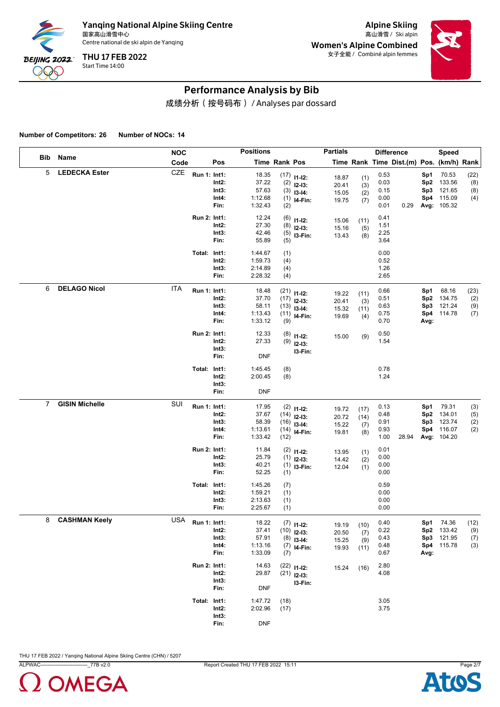

Alpine Skiing Women's Alpine Combined 女子全能 / Combiné alpin femmes



## Performance Analysis by Bib

成绩分析(按号码布) / Analyses par dossard

**Number of Competitors: 26 Number of NOCs: 14**

|                |                       | <b>NOC</b> |              |                                 | <b>Positions</b>                              |                          |                                                                              | <b>Partials</b>                  |                            | <b>Difference</b>                    |                                          |                                  | <b>Speed</b>                                       |                           |
|----------------|-----------------------|------------|--------------|---------------------------------|-----------------------------------------------|--------------------------|------------------------------------------------------------------------------|----------------------------------|----------------------------|--------------------------------------|------------------------------------------|----------------------------------|----------------------------------------------------|---------------------------|
| Bib            | Name                  | Code       |              | Pos                             |                                               | Time Rank Pos            |                                                                              |                                  |                            |                                      | Time Rank Time Dist.(m) Pos. (km/h) Rank |                                  |                                                    |                           |
| 5              | <b>LEDECKA Ester</b>  | CZE        | Run 1: Int1: | Int2:<br>Int3:<br>Int4:<br>Fin: | 18.35<br>37.22<br>57.63<br>1:12.68<br>1:32.43 | (2)                      | $(17)$ 11-12:<br>$(2)$ 12-13:<br>$(3)$ 13-14:<br>$(1)$ 14-Fin:               | 18.87<br>20.41<br>15.05<br>19.75 | (1)<br>(3)<br>(2)<br>(7)   | 0.53<br>0.03<br>0.15<br>0.00<br>0.01 | 0.29                                     | Sp1<br>Sp2<br>Sp3<br>Sp4         | 70.53<br>133.56<br>121.65<br>115.09<br>Avg: 105.32 | (22)<br>(8)<br>(8)<br>(4) |
|                |                       |            | Run 2: Int1: | Int2:<br>Int3:<br>Fin:          | 12.24<br>27.30<br>42.46<br>55.89              | (6)<br>(8)<br>(5)<br>(5) | $11 - 12$ :<br>$12-13:$<br>I3-Fin:                                           | 15.06<br>15.16<br>13.43          | (11)<br>(5)<br>(8)         | 0.41<br>1.51<br>2.25<br>3.64         |                                          |                                  |                                                    |                           |
|                |                       |            | Total: Int1: | Int2:<br>Int3:<br>Fin:          | 1:44.67<br>1:59.73<br>2:14.89<br>2:28.32      | (1)<br>(4)<br>(4)<br>(4) |                                                                              |                                  |                            | 0.00<br>0.52<br>1.26<br>2.65         |                                          |                                  |                                                    |                           |
| 6              | <b>DELAGO Nicol</b>   | <b>ITA</b> | Run 1: Int1: | Int2:<br>Int3:<br>Int4:<br>Fin: | 18.48<br>37.70<br>58.11<br>1:13.43<br>1:33.12 | (9)                      | $(21)$ 11-12:<br>$(17)$ 12-13:<br>$(13)$ 13-14:<br>$(11)$ <sub>14-Fin:</sub> | 19.22<br>20.41<br>15.32<br>19.69 | (11)<br>(3)<br>(11)<br>(4) | 0.66<br>0.51<br>0.63<br>0.75<br>0.70 |                                          | Sp1<br>Sp2<br>Sp3<br>Sp4<br>Avg: | 68.16<br>134.75<br>121.24<br>114.78                | (23)<br>(2)<br>(9)<br>(7) |
|                |                       |            | Run 2: Int1: | Int2:<br>Int3:<br>Fin:          | 12.33<br>27.33<br><b>DNF</b>                  |                          | $(8)$ 11-12:<br>$(9)$ 12-13:<br>I3-Fin:                                      | 15.00                            | (9)                        | 0.50<br>1.54                         |                                          |                                  |                                                    |                           |
|                |                       |            | Total: Int1: | Int2:<br>Int3:<br>Fin:          | 1:45.45<br>2:00.45<br><b>DNF</b>              | (8)<br>(8)               |                                                                              |                                  |                            | 0.78<br>1.24                         |                                          |                                  |                                                    |                           |
| $\overline{7}$ | <b>GISIN Michelle</b> | SUI        | Run 1: Int1: | Int2:<br>Int3:<br>Int4:<br>Fin: | 17.95<br>37.67<br>58.39<br>1:13.61<br>1:33.42 | (12)                     | $(2)$ 11-12:<br>$(14)$ 12-13:<br>$(16)$ 13-14:<br>$(14)$ <sub>14-Fin:</sub>  | 19.72<br>20.72<br>15.22<br>19.81 | (17)<br>(14)<br>(7)<br>(8) | 0.13<br>0.48<br>0.91<br>0.93<br>1.00 | 28.94                                    | Sp1<br>Sp2<br>Sp3<br>Sp4         | 79.31<br>134.01<br>123.74<br>116.07<br>Avg: 104.20 | (3)<br>(5)<br>(2)<br>(2)  |
|                |                       |            | Run 2: Int1: | Int2:<br>Int3:<br>Fin:          | 11.84<br>25.79<br>40.21<br>52.25              | (1)                      | $(2)$ 11-12:<br>$(1)$ 12-13:<br>$(1)$ 13-Fin:                                | 13.95<br>14.42<br>12.04          | (1)<br>(2)<br>(1)          | 0.01<br>0.00<br>0.00<br>0.00         |                                          |                                  |                                                    |                           |
|                |                       |            | Total: Int1: | Int2:<br>Int3:<br>Fin:          | 1:45.26<br>1:59.21<br>2:13.63<br>2:25.67      | (7)<br>(1)<br>(1)<br>(1) |                                                                              |                                  |                            | 0.59<br>0.00<br>0.00<br>0.00         |                                          |                                  |                                                    |                           |
| 8              | <b>CASHMAN Keely</b>  | <b>USA</b> | Run 1: Int1: | Int2:<br>Int3:<br>Int4:<br>Fin: | 18.22<br>37.41<br>57.91<br>1:13.16<br>1:33.09 | (7)                      | $(7)$ 11-12:<br>$(10)$ 12-13:<br>$(8)$ 13-14:<br>$(7)$ 14-Fin:               | 19.19<br>20.50<br>15.25<br>19.93 | (10)<br>(7)<br>(9)<br>(11) | 0.40<br>0.22<br>0.43<br>0.48<br>0.67 |                                          | Sp3<br>Avg:                      | Sp1 74.36<br>Sp2 133.42<br>121.95<br>Sp4 115.78    | (12)<br>(9)<br>(7)<br>(3) |
|                |                       |            | Run 2: Int1: | Int2:<br>Int3:<br>Fin:          | 14.63<br>29.87<br><b>DNF</b>                  |                          | $(22)$ 11-12:<br>$(21)$ 12-13:<br>I3-Fin:                                    | 15.24                            | (16)                       | 2.80<br>4.08                         |                                          |                                  |                                                    |                           |
|                |                       |            | Total: Int1: | $Int2$ :<br>Int3:<br>Fin:       | 1:47.72<br>2:02.96<br><b>DNF</b>              | (18)<br>(17)             |                                                                              |                                  |                            | 3.05<br>3.75                         |                                          |                                  |                                                    |                           |

THU 17 FEB 2022 / Yanqing National Alpine Skiing Centre (CHN) / 5207



ALPWAC----------------------------\_77B v2.0 Report Created THU 17 FEB 2022 15:11 Page 2/7

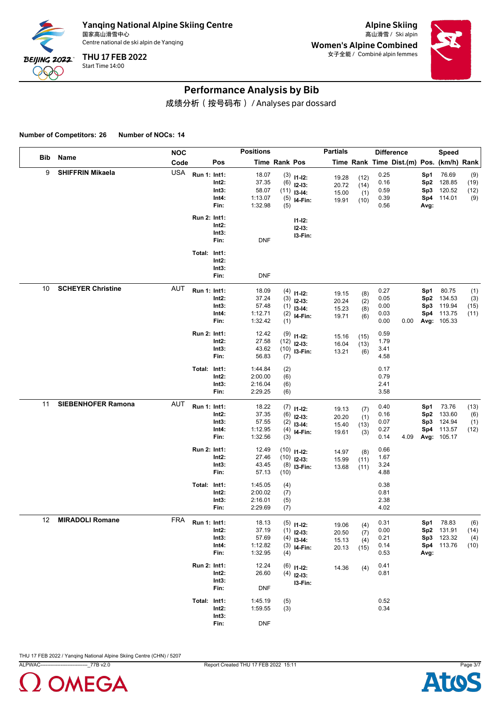

Alpine Skiing Women's Alpine Combined 女子全能 / Combiné alpin femmes



## Performance Analysis by Bib

成绩分析(按号码布) / Analyses par dossard

**Number of Competitors: 26 Number of NOCs: 14**

|     |                           | <b>NOC</b> |                     |                                    | <b>Positions</b>                              |                             |                                                       | <b>Partials</b>                  |                             | <b>Difference</b>                    |                                          |                                  | <b>Speed</b>                                       |                            |
|-----|---------------------------|------------|---------------------|------------------------------------|-----------------------------------------------|-----------------------------|-------------------------------------------------------|----------------------------------|-----------------------------|--------------------------------------|------------------------------------------|----------------------------------|----------------------------------------------------|----------------------------|
| Bib | Name                      | Code       |                     | Pos                                |                                               | Time Rank Pos               |                                                       |                                  |                             |                                      | Time Rank Time Dist.(m) Pos. (km/h) Rank |                                  |                                                    |                            |
| 9   | <b>SHIFFRIN Mikaela</b>   | <b>USA</b> | Run 1: Int1:        | Int2:<br>Int3:<br>Int4:<br>Fin:    | 18.07<br>37.35<br>58.07<br>1:13.07<br>1:32.98 | (6)<br>(11)<br>(5)<br>(5)   | $(3)$ 11-12:<br>$12-13:$<br>$13-14:$<br>I4-Fin:       | 19.28<br>20.72<br>15.00<br>19.91 | (12)<br>(14)<br>(1)<br>(10) | 0.25<br>0.16<br>0.59<br>0.39<br>0.56 |                                          | Sp1<br>Sp2<br>Sp3<br>Sp4<br>Avg: | 76.69<br>128.85<br>120.52<br>114.01                | (9)<br>(19)<br>(12)<br>(9) |
|     |                           |            | Run 2: Int1:        | Int2:<br>Int3:<br>Fin:             | <b>DNF</b>                                    |                             | $11 - 12$ :<br>$12 - 13:$<br>I3-Fin:                  |                                  |                             |                                      |                                          |                                  |                                                    |                            |
|     |                           |            | Total: Int1:        | Int2:<br>Int3:<br>Fin:             | <b>DNF</b>                                    |                             |                                                       |                                  |                             |                                      |                                          |                                  |                                                    |                            |
| 10  | <b>SCHEYER Christine</b>  | <b>AUT</b> | Run 1: Int1:        | Int2:<br>Int3:<br>Int4:<br>Fin:    | 18.09<br>37.24<br>57.48<br>1:12.71<br>1:32.42 | (3)<br>(1)<br>(2)<br>(1)    | $(4)$ 11-12:<br>$12-13:$<br>$13-14:$<br>I4-Fin:       | 19.15<br>20.24<br>15.23<br>19.71 | (8)<br>(2)<br>(8)<br>(6)    | 0.27<br>0.05<br>0.00<br>0.03<br>0.00 | 0.00                                     | Sp1<br>Sp2<br>Sp3<br>Sp4         | 80.75<br>134.53<br>119.94<br>113.75<br>Avg: 105.33 | (1)<br>(3)<br>(15)<br>(11) |
|     |                           |            | Run 2: Int1:        | Int2:<br>Int3:<br>Fin:             | 12.42<br>27.58<br>43.62<br>56.83              | (9)<br>(7)                  | $11 - 12$ :<br>$(12)$ 12-13:<br>$(10)$ 13-Fin:        | 15.16<br>16.04<br>13.21          | (15)<br>(13)<br>(6)         | 0.59<br>1.79<br>3.41<br>4.58         |                                          |                                  |                                                    |                            |
|     |                           |            | Total: Int1:        | Int2:<br>Int3:<br>Fin:             | 1:44.84<br>2:00.00<br>2:16.04<br>2:29.25      | (2)<br>(6)<br>(6)<br>(6)    |                                                       |                                  |                             | 0.17<br>0.79<br>2.41<br>3.58         |                                          |                                  |                                                    |                            |
| 11  | <b>SIEBENHOFER Ramona</b> | <b>AUT</b> | Run 1: Int1:        | Int2:<br>Int3:<br>Int4:<br>Fin:    | 18.22<br>37.35<br>57.55<br>1:12.95<br>1:32.56 | (6)<br>(2)<br>(4)<br>(3)    | $(7)$ 11-12:<br>$12-13:$<br>$13-14:$<br>I4-Fin:       | 19.13<br>20.20<br>15.40<br>19.61 | (7)<br>(1)<br>(13)<br>(3)   | 0.40<br>0.16<br>0.07<br>0.27<br>0.14 | 4.09                                     | Sp1<br>Sp2<br>Sp3<br>Sp4         | 73.76<br>133.60<br>124.94<br>113.57<br>Avg: 105.17 | (13)<br>(6)<br>(1)<br>(12) |
|     |                           |            | Run 2: Int1:        | Int2:<br>Int3:<br>Fin:             | 12.49<br>27.46<br>43.45<br>57.13              | (10)<br>(10)<br>(8)<br>(10) | $11 - 12$ :<br>$12-13:$<br>I3-Fin:                    | 14.97<br>15.99<br>13.68          | (8)<br>(11)<br>(11)         | 0.66<br>1.67<br>3.24<br>4.88         |                                          |                                  |                                                    |                            |
|     |                           |            | Total: Int1:        | Int2:<br>Int3:<br>Fin:             | 1:45.05<br>2:00.02<br>2:16.01<br>2:29.69      | (4)<br>(7)<br>(5)<br>(7)    |                                                       |                                  |                             | 0.38<br>0.81<br>2.38<br>4.02         |                                          |                                  |                                                    |                            |
| 12  | <b>MIRADOLI Romane</b>    | <b>FRA</b> | <b>Run 1: Int1:</b> | $Int2$ :<br>Int3:<br>Int4:<br>Fin: | 18.13<br>37.19<br>57.69<br>1:12.82<br>1:32.95 | (1)<br>(4)<br>(4)           | $(5)$ 11-12:<br>$12-13:$<br>$13-14:$<br>$(3)$ 14-Fin: | 19.06<br>20.50<br>15.13<br>20.13 | (4)<br>(7)<br>(4)<br>(15)   | 0.31<br>0.00<br>0.21<br>0.14<br>0.53 |                                          | Sp1<br>Sp3<br>Avg:               | 78.83<br>Sp2 131.91<br>123.32<br>Sp4 113.76        | (6)<br>(14)<br>(4)<br>(10) |
|     |                           |            | Run 2: Int1:        | Int2:<br>Int3:<br>Fin:             | 12.24<br>26.60<br><b>DNF</b>                  | (6)                         | $11 - 12$ :<br>$(4)$ 12-13:<br>I3-Fin:                | 14.36                            | (4)                         | 0.41<br>0.81                         |                                          |                                  |                                                    |                            |
|     |                           |            | Total: Int1:        | Int2:<br>Int3:<br>Fin:             | 1:45.19<br>1:59.55<br><b>DNF</b>              | (5)<br>(3)                  |                                                       |                                  |                             | 0.52<br>0.34                         |                                          |                                  |                                                    |                            |



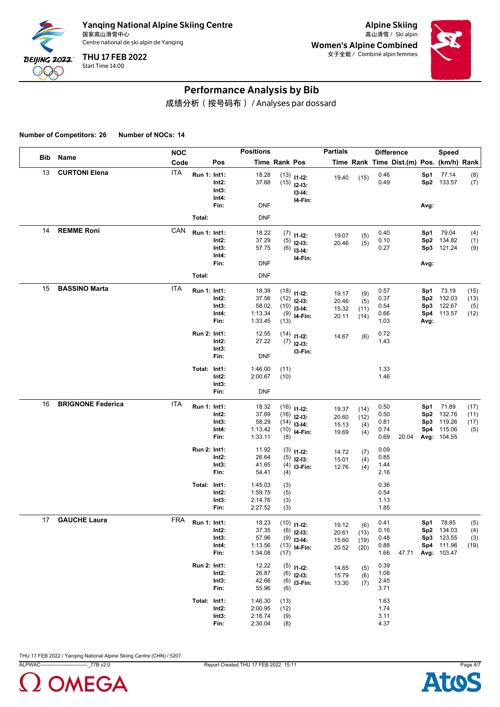

Alpine Skiing Women's Alpine Combined 女子全能 / Combiné alpin femmes



## Performance Analysis by Bib

成绩分析(按号码布) / Analyses par dossard

**Number of Competitors: 26 Number of NOCs: 14**

|     |                          | <b>NOC</b> |              |                                 | <b>Positions</b>                              |                            |                                                                   | <b>Partials</b>                  |                             | <b>Difference</b>                    |                                               | Speed                                                          |                             |
|-----|--------------------------|------------|--------------|---------------------------------|-----------------------------------------------|----------------------------|-------------------------------------------------------------------|----------------------------------|-----------------------------|--------------------------------------|-----------------------------------------------|----------------------------------------------------------------|-----------------------------|
| Bib | Name                     | Code       |              | Pos                             |                                               | Time Rank Pos              |                                                                   |                                  |                             |                                      | Time Rank Time Dist.(m) Pos. (km/h) Rank      |                                                                |                             |
| 13  | <b>CURTONI Elena</b>     | <b>ITA</b> | Run 1: Int1: | Int2:<br>Int3:<br>Int4:<br>Fin: | 18.28<br>37.68<br><b>DNF</b>                  |                            | $(13)$ 11-12:<br>$(15)$ 12-13:<br>$13-14:$<br>I4-Fin:             | 19.40                            | (15)                        | 0.46<br>0.49                         | Sp1<br>Avg:                                   | 77.14<br>Sp2 133.57                                            | (8)<br>(7)                  |
|     |                          |            | Total:       |                                 | <b>DNF</b>                                    |                            |                                                                   |                                  |                             |                                      |                                               |                                                                |                             |
| 14  | <b>REMME Roni</b>        | CAN        | Run 1: Int1: | Int2:<br>Int3:<br>Int4:<br>Fin: | 18.22<br>37.29<br>57.75<br><b>DNF</b>         |                            | $(7)$ 11-12:<br>$(5)$ 12-13:<br>$(6)$ 13-14:<br>I4-Fin:           | 19.07<br>20.46                   | (5)<br>(5)                  | 0.40<br>0.10<br>0.27                 | Sp1<br>Sp <sub>2</sub><br>Sp3<br>Avg:         | 79.04<br>134.82<br>121.24                                      | (4)<br>(1)<br>(9)           |
|     |                          |            | Total:       |                                 | <b>DNF</b>                                    |                            |                                                                   |                                  |                             |                                      |                                               |                                                                |                             |
| 15  | <b>BASSINO Marta</b>     | <b>ITA</b> | Run 1: Int1: | Int2:<br>Int3:<br>Int4:<br>Fin: | 18.39<br>37.56<br>58.02<br>1:13.34<br>1:33.45 | (13)                       | $(18)$ 11-12:<br>$(12)$ 12-13:<br>$(10)$ 13-14:<br>$(9)$ 14-Fin:  | 19.17<br>20.46<br>15.32<br>20.11 | (9)<br>(5)<br>(11)<br>(14)  | 0.57<br>0.37<br>0.54<br>0.66<br>1.03 | Sp1<br>Sp <sub>2</sub><br>Sp3<br>Sp4<br>Avg:  | 73.19<br>132.03<br>122.67<br>113.57                            | (15)<br>(13)<br>(5)<br>(12) |
|     |                          |            | Run 2: Int1: | Int2:<br>Int3:<br>Fin:          | 12.55<br>27.22<br><b>DNF</b>                  |                            | $(14)$ 11-12:<br>$(7)$ 12-13:<br>I3-Fin:                          | 14.67                            | (6)                         | 0.72<br>1.43                         |                                               |                                                                |                             |
|     |                          |            | Total: Int1: | Int2:<br>Int3:<br>Fin:          | 1:46.00<br>2:00.67<br><b>DNF</b>              | (11)<br>(10)               |                                                                   |                                  |                             | 1.33<br>1.46                         |                                               |                                                                |                             |
| 16  | <b>BRIGNONE Federica</b> | <b>ITA</b> | Run 1: Int1: | Int2:<br>Int3:<br>Int4:<br>Fin: | 18.32<br>37.69<br>58.29<br>1:13.42<br>1:33.11 | (8)                        | $(16)$ 11-12:<br>$(16)$ 12-13:<br>$(14)$ 13-14:<br>$(10)$ 14-Fin: | 19.37<br>20.60<br>15.13<br>19.69 | (14)<br>(12)<br>(4)<br>(4)  | 0.50<br>0.50<br>0.81<br>0.74<br>0.69 | Sp1<br>Sp <sub>2</sub><br>Sp3<br>Sp4<br>20.04 | 71.89<br>132.76<br>119.26<br>115.06<br>Avg: 104.55             | (17)<br>(11)<br>(17)<br>(5) |
|     |                          |            | Run 2: Int1: | Int2:<br>Int3:<br>Fin:          | 11.92<br>26.64<br>41.65<br>54.41              | (4)                        | $(3)$ 11-12:<br>$(5)$ 12-13:<br>$(4)$ 13-Fin:                     | 14.72<br>15.01<br>12.76          | (7)<br>(4)<br>(4)           | 0.09<br>0.85<br>1.44<br>2.16         |                                               |                                                                |                             |
|     |                          |            | Total: Int1: | Int2:<br>Int3:<br>Fin:          | 1:45.03<br>1:59.75<br>2:14.76<br>2:27.52      | (3)<br>(5)<br>(3)<br>(3)   |                                                                   |                                  |                             | 0.36<br>0.54<br>1.13<br>1.85         |                                               |                                                                |                             |
| 17  | <b>GAUCHE Laura</b>      | <b>FRA</b> | Run 1: Int1: | Int2:<br>Int3:<br>Int4:<br>Fin: | 18.23<br>37.35<br>57.96<br>1:13.56<br>1:34.08 | (17)                       | $(10)$ 11-12:<br>$(6)$ 12-13:<br>$(9)$ 13-14:<br>$(13)$ 14-Fin:   | 19.12<br>20.61<br>15.60<br>20.52 | (6)<br>(13)<br>(19)<br>(20) | 0.41<br>0.16<br>0.48<br>0.88<br>1.66 | Sp1<br>47.71                                  | 78.85<br>Sp2 134.03<br>Sp3 123.55<br>Sp4 111.96<br>Avg: 103.47 | (5)<br>(4)<br>(3)<br>(19)   |
|     |                          |            | Run 2: Int1: | Int2:<br>Int3:<br>Fin:          | 12.22<br>26.87<br>42.66<br>55.96              | (6)                        | $(5)$ 11-12:<br>$(6)$ 12-13:<br>$(6)$ 13-Fin:                     | 14.65<br>15.79<br>13.30          | (5)<br>(6)<br>(7)           | 0.39<br>1.08<br>2.45<br>3.71         |                                               |                                                                |                             |
|     |                          |            | Total: Int1: | $Int2$ :<br>Int3:<br>Fin:       | 1:46.30<br>2:00.95<br>2:16.74<br>2:30.04      | (13)<br>(12)<br>(9)<br>(8) |                                                                   |                                  |                             | 1.63<br>1.74<br>3.11<br>4.37         |                                               |                                                                |                             |



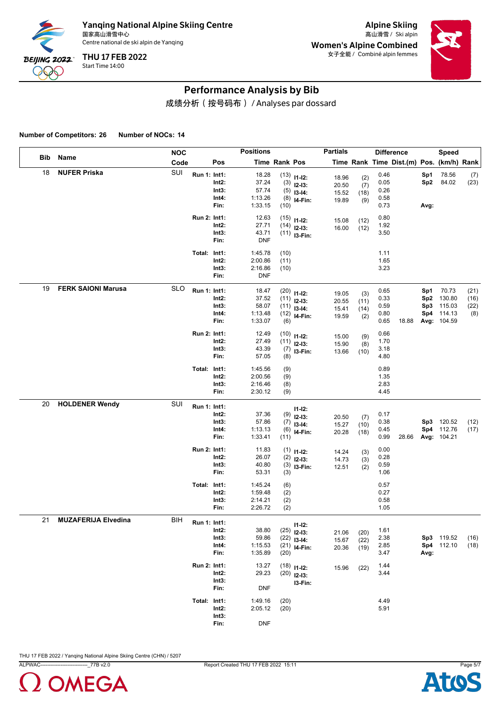

Alpine Skiing Women's Alpine Combined 女子全能 / Combiné alpin femmes



## Performance Analysis by Bib

成绩分析(按号码布) / Analyses par dossard

**Number of Competitors: 26 Number of NOCs: 14**

|            |                            | <b>NOC</b> |                     |                                 | <b>Positions</b>                              |                           |                                                                              | <b>Partials</b>                  |                            | <b>Difference</b>                    |       |                                      | <b>Speed</b>                                       |                             |
|------------|----------------------------|------------|---------------------|---------------------------------|-----------------------------------------------|---------------------------|------------------------------------------------------------------------------|----------------------------------|----------------------------|--------------------------------------|-------|--------------------------------------|----------------------------------------------------|-----------------------------|
| <b>Bib</b> | Name                       | Code       |                     | Pos                             |                                               | Time Rank Pos             |                                                                              |                                  |                            |                                      |       |                                      | Time Rank Time Dist.(m) Pos. (km/h) Rank           |                             |
| 18         | <b>NUFER Priska</b>        | SUI        | Run 1: Int1:        | Int2:<br>Int3:<br>Int4:<br>Fin: | 18.28<br>37.24<br>57.74<br>1:13.26<br>1:33.15 | (3)<br>(5)<br>(10)        | $(13)$ 11-12:<br>$12 - 13$ :<br>$13-14$ :<br>$(8)$ 14-Fin:                   | 18.96<br>20.50<br>15.52<br>19.89 | (2)<br>(7)<br>(18)<br>(9)  | 0.46<br>0.05<br>0.26<br>0.58<br>0.73 |       | Sp1<br>Sp <sub>2</sub><br>Avg:       | 78.56<br>84.02                                     | (7)<br>(23)                 |
|            |                            |            | Run 2: Int1:        | Int2:<br>Int3:<br>Fin:          | 12.63<br>27.71<br>43.71<br><b>DNF</b>         |                           | $(15)$ 11-12:<br>$(14)$ 12-13:<br>$(11)$ 13-Fin:                             | 15.08<br>16.00                   | (12)<br>(12)               | 0.80<br>1.92<br>3.50                 |       |                                      |                                                    |                             |
|            |                            |            | Total: Int1:        | Int2:<br>Int3:<br>Fin:          | 1:45.78<br>2:00.86<br>2:16.86<br><b>DNF</b>   | (10)<br>(11)<br>(10)      |                                                                              |                                  |                            | 1.11<br>1.65<br>3.23                 |       |                                      |                                                    |                             |
| 19         | <b>FERK SAIONI Marusa</b>  | <b>SLO</b> | Run 1: Int1:        | Int2:<br>Int3:<br>Int4:<br>Fin: | 18.47<br>37.52<br>58.07<br>1:13.48<br>1:33.07 | (6)                       | $(20)$ 11-12:<br>$(11)$ 12-13:<br>$(11)$ 13-14:<br>$(12)$ <sub>14-Fin:</sub> | 19.05<br>20.55<br>15.41<br>19.59 | (3)<br>(11)<br>(14)<br>(2) | 0.65<br>0.33<br>0.59<br>0.80<br>0.65 | 18.88 | Sp1<br>Sp <sub>2</sub><br>Sp3<br>Sp4 | 70.73<br>130.80<br>115.03<br>114.13<br>Avg: 104.59 | (21)<br>(16)<br>(22)<br>(8) |
|            |                            |            | Run 2: Int1:        | Int2:<br>Int3:<br>Fin:          | 12.49<br>27.49<br>43.39<br>57.05              | (10)<br>(7)<br>(8)        | $11 - 12$ :<br>$(11)$ 12-13:<br>I3-Fin:                                      | 15.00<br>15.90<br>13.66          | (9)<br>(8)<br>(10)         | 0.66<br>1.70<br>3.18<br>4.80         |       |                                      |                                                    |                             |
|            |                            |            | Total: Int1:        | Int2:<br>Int3:<br>Fin:          | 1:45.56<br>2:00.56<br>2:16.46<br>2:30.12      | (9)<br>(9)<br>(8)<br>(9)  |                                                                              |                                  |                            | 0.89<br>1.35<br>2.83<br>4.45         |       |                                      |                                                    |                             |
| 20         | <b>HOLDENER Wendy</b>      | SUI        | Run 1: Int1:        | Int2:<br>Int3:<br>Int4:<br>Fin: | 37.36<br>57.86<br>1:13.13<br>1:33.41          | (9)<br>(7)<br>(6)<br>(11) | $11 - 12$ :<br>$12 - 13:$<br>$13-14:$<br>I4-Fin:                             | 20.50<br>15.27<br>20.28          | (7)<br>(10)<br>(18)        | 0.17<br>0.38<br>0.45<br>0.99         | 28.66 |                                      | Sp3 120.52<br>Sp4 112.76<br>Avg: 104.21            | (12)<br>(17)                |
|            |                            |            | Run 2: Int1:        | Int2:<br>Int3:<br>Fin:          | 11.83<br>26.07<br>40.80<br>53.31              | (1)<br>(2)<br>(3)<br>(3)  | $11 - 12$ :<br>$12-13:$<br>I3-Fin:                                           | 14.24<br>14.73<br>12.51          | (3)<br>(3)<br>(2)          | 0.00<br>0.28<br>0.59<br>1.06         |       |                                      |                                                    |                             |
|            |                            |            | Total: Int1:        | $Int2$ :<br>Int3:<br>Fin:       | 1:45.24<br>1:59.48<br>2:14.21<br>2:26.72      | (6)<br>(2)<br>(2)<br>(2)  |                                                                              |                                  |                            | 0.57<br>0.27<br>0.58<br>1.05         |       |                                      |                                                    |                             |
| 21         | <b>MUZAFERIJA Elvedina</b> | <b>BIH</b> | <b>Run 1: Int1:</b> | Int2:<br>Int3:<br>Int4:<br>Fin: | 38.80<br>59.86<br>1:15.53<br>1:35.89          | (25)<br>(22)<br>(20)      | $11 - 12$ :<br>$12 - 13:$<br>$13 - 14:$<br>$(21)$ 14-Fin:                    | 21.06<br>15.67<br>20.36          | (20)<br>(22)<br>(19)       | 1.61<br>2.38<br>2.85<br>3.47         |       | Avg:                                 | Sp3 119.52<br>Sp4 112.10                           | (16)<br>(18)                |
|            |                            |            | Run 2: Int1:        | $Int2$ :<br>Int3:<br>Fin:       | 13.27<br>29.23<br><b>DNF</b>                  |                           | $(18)$ 11-12:<br>$(20)$ 12-13:<br>I3-Fin:                                    | 15.96                            | (22)                       | 1.44<br>3.44                         |       |                                      |                                                    |                             |
|            |                            |            | Total: Int1:        | Int2:<br>Int3:<br>Fin:          | 1:49.16<br>2:05.12<br><b>DNF</b>              | (20)<br>(20)              |                                                                              |                                  |                            | 4.49<br>5.91                         |       |                                      |                                                    |                             |



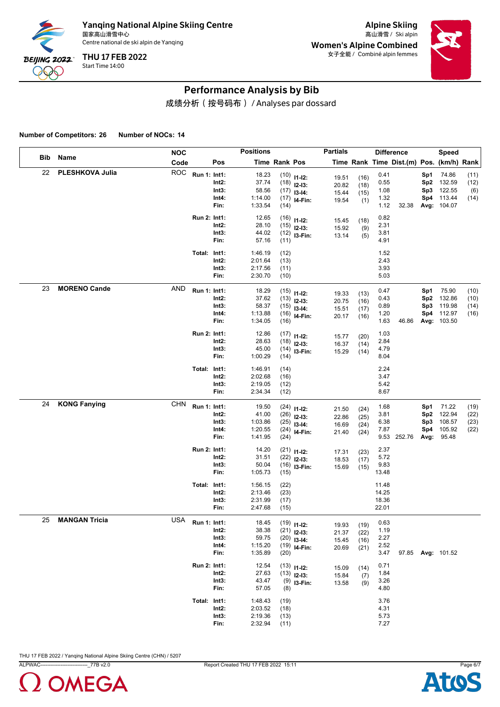

Alpine Skiing Women's Alpine Combined 女子全能 / Combiné alpin femmes



## Performance Analysis by Bib

成绩分析(按号码布) / Analyses par dossard

**Number of Competitors: 26 Number of NOCs: 14**

|     |                      | <b>NOC</b> |              |                                    | <b>Positions</b>                                |                              |                                                                   | <b>Partials</b>                  |                              | <b>Difference</b>                    |                                          |                                  | Speed                                              |                              |
|-----|----------------------|------------|--------------|------------------------------------|-------------------------------------------------|------------------------------|-------------------------------------------------------------------|----------------------------------|------------------------------|--------------------------------------|------------------------------------------|----------------------------------|----------------------------------------------------|------------------------------|
| Bib | Name                 | Code       |              | Pos                                |                                                 | Time Rank Pos                |                                                                   |                                  |                              |                                      | Time Rank Time Dist.(m) Pos. (km/h) Rank |                                  |                                                    |                              |
| 22  | PLESHKOVA Julia      | <b>ROC</b> | Run 1: Int1: | Int2:<br>Int3:<br>Int4:<br>Fin:    | 18.23<br>37.74<br>58.56<br>1:14.00<br>1:33.54   | (14)                         | $(10)$ 11-12:<br>$(18)$ 12-13:<br>$(17)$ 13-14:<br>$(17)$ 14-Fin: | 19.51<br>20.82<br>15.44<br>19.54 | (16)<br>(18)<br>(15)<br>(1)  | 0.41<br>0.55<br>1.08<br>1.32<br>1.12 | 32.38                                    | Sp1<br>Sp2<br>Sp3<br>Sp4         | 74.86<br>132.59<br>122.55<br>113.44<br>Avg: 104.07 | (11)<br>(12)<br>(6)<br>(14)  |
|     |                      |            | Run 2: Int1: | Int2:<br>Int3:<br>Fin:             | 12.65<br>28.10<br>44.02<br>57.16                | (11)                         | $(16)$ 11-12:<br>$(15)$ 12-13:<br>$(12)$ 13-Fin:                  | 15.45<br>15.92<br>13.14          | (18)<br>(9)<br>(5)           | 0.82<br>2.31<br>3.81<br>4.91         |                                          |                                  |                                                    |                              |
|     |                      |            | Total: Int1: | Int2:<br>Int3:<br>Fin:             | 1:46.19<br>2:01.64<br>2:17.56<br>2:30.70        | (12)<br>(13)<br>(11)<br>(10) |                                                                   |                                  |                              | 1.52<br>2.43<br>3.93<br>5.03         |                                          |                                  |                                                    |                              |
| 23  | <b>MORENO Cande</b>  | <b>AND</b> | Run 1: Int1: | $Int2$ :<br>Int3:<br>Int4:<br>Fin: | 18.29<br>37.62<br>58.37<br>1:13.88<br>1:34.05   | (16)                         | $(15)$ 11-12:<br>$(13)$ 12-13:<br>$(15)$ 13-14:<br>$(16)$ 14-Fin: | 19.33<br>20.75<br>15.51<br>20.17 | (13)<br>(16)<br>(17)<br>(16) | 0.47<br>0.43<br>0.89<br>1.20<br>1.63 | 46.86                                    | Sp1<br>Sp2<br>Sp3<br>Sp4         | 75.90<br>132.86<br>119.98<br>112.97<br>Avg: 103.50 | (10)<br>(10)<br>(14)<br>(16) |
|     |                      |            | Run 2: Int1: | Int2:<br>Int3:<br>Fin:             | 12.86<br>28.63<br>45.00<br>1:00.29              | (14)                         | $(17)$ 11-12:<br>$(18)$ 12-13:<br>$(14)$ 13-Fin:                  | 15.77<br>16.37<br>15.29          | (20)<br>(14)<br>(14)         | 1.03<br>2.84<br>4.79<br>8.04         |                                          |                                  |                                                    |                              |
|     |                      |            | Total: Int1: | Int2:<br>Int3:<br>Fin:             | 1:46.91<br>2:02.68<br>2:19.05<br>2:34.34        | (14)<br>(16)<br>(12)<br>(12) |                                                                   |                                  |                              | 2.24<br>3.47<br>5.42<br>8.67         |                                          |                                  |                                                    |                              |
| 24  | <b>KONG Fanying</b>  | <b>CHN</b> | Run 1: Int1: | Int2:<br>Int3:<br>Int4:<br>Fin:    | 19.50<br>41.00<br>1:03.86<br>1:20.55<br>1:41.95 | (24)                         | $(24)$ 11-12:<br>$(26)$ 12-13:<br>$(25)$ 13-14:<br>$(24)$ 14-Fin: | 21.50<br>22.86<br>16.69<br>21.40 | (24)<br>(25)<br>(24)<br>(24) | 1.68<br>3.81<br>6.38<br>7.87         | 9.53 252.76                              | Sp1<br>Sp2<br>Sp3<br>Sp4<br>Avg: | 71.22<br>122.94<br>108.57<br>105.92<br>95.48       | (19)<br>(22)<br>(23)<br>(22) |
|     |                      |            | Run 2: Int1: | Int2:<br>Int3:<br>Fin:             | 14.20<br>31.51<br>50.04<br>1:05.73              | (15)                         | $(21)$ 11-12:<br>$(22)$ 12-13:<br>$(16)$ 13-Fin:                  | 17.31<br>18.53<br>15.69          | (23)<br>(17)<br>(15)         | 2.37<br>5.72<br>9.83<br>13.48        |                                          |                                  |                                                    |                              |
|     |                      |            | Total: Int1: | Int2:<br>Int3:<br>Fin:             | 1:56.15<br>2:13.46<br>2:31.99<br>2:47.68        | (22)<br>(23)<br>(17)<br>(15) |                                                                   |                                  |                              | 11.48<br>14.25<br>18.36<br>22.01     |                                          |                                  |                                                    |                              |
| 25  | <b>MANGAN Tricia</b> | <b>USA</b> | Run 1: Int1: | Int2:<br>Int3:<br>Int4:<br>Fin:    | 18.45<br>38.38<br>59.75<br>1:15.20<br>1:35.89   | (20)                         | $(19)$ 11-12:<br>$(21)$ 12-13:<br>$(20)$ 13-14:<br>$(19)$ 14-Fin: | 19.93<br>21.37<br>15.45<br>20.69 | (19)<br>(22)<br>(16)<br>(21) | 0.63<br>1.19<br>2.27<br>2.52<br>3.47 |                                          |                                  | 97.85 Avg: 101.52                                  |                              |
|     |                      |            | Run 2: Int1: | Int2:<br>Int3:<br>Fin:             | 12.54<br>27.63<br>43.47<br>57.05                | (8)                          | $(13)$ 11-12:<br>$(13)$ 12-13:<br>$(9)$ 13-Fin:                   | 15.09<br>15.84<br>13.58          | (14)<br>(7)<br>(9)           | 0.71<br>1.84<br>3.26<br>4.80         |                                          |                                  |                                                    |                              |
|     |                      |            | Total: Int1: | $Int2$ :<br>Int3:<br>Fin:          | 1:48.43<br>2:03.52<br>2:19.36<br>2:32.94        | (19)<br>(18)<br>(13)<br>(11) |                                                                   |                                  |                              | 3.76<br>4.31<br>5.73<br>7.27         |                                          |                                  |                                                    |                              |



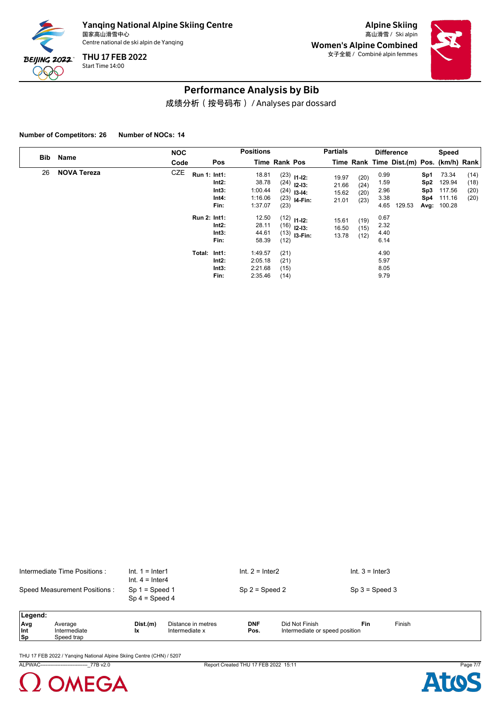

Alpine Skiing Women's Alpine Combined 女子全能 / Combiné alpin femmes



#### Performance Analysis by Bib

成绩分析(按号码布) / Analyses par dossard

**Number of Competitors: 26 Number of NOCs: 14**

|     |                    | <b>NOC</b> |                                                                                                 | <b>Positions</b>                                                           |                                      |                                                                                                                              | <b>Partials</b>                                             |                                                      |                                                              | <b>Difference</b>                        |                                      | Speed                                              |                              |
|-----|--------------------|------------|-------------------------------------------------------------------------------------------------|----------------------------------------------------------------------------|--------------------------------------|------------------------------------------------------------------------------------------------------------------------------|-------------------------------------------------------------|------------------------------------------------------|--------------------------------------------------------------|------------------------------------------|--------------------------------------|----------------------------------------------------|------------------------------|
| Bib | Name               | Code       | Pos                                                                                             |                                                                            | <b>Time Rank Pos</b>                 |                                                                                                                              |                                                             |                                                      |                                                              | Time Rank Time Dist.(m) Pos. (km/h) Rank |                                      |                                                    |                              |
| 26  | <b>NOVA Tereza</b> | CZE        | <b>Run 1: Int1:</b><br>Int2:<br>Int3:<br>Int4:<br>Fin:<br><b>Run 2: Int1:</b><br>Int2:<br>Int3: | 18.81<br>38.78<br>1:00.44<br>1:16.06<br>1:37.07<br>12.50<br>28.11<br>44.61 | (23)                                 | $(23)$ 11-12:<br>$(24)$ 12-13:<br>$(24)$ 13-14:<br>$(23)$ <b>I4-Fin:</b><br>$(12)$ 11-12:<br>$(16)$ 12-13:<br>$(13)$ 13-Fin: | 19.97<br>21.66<br>15.62<br>21.01<br>15.61<br>16.50<br>13.78 | (20)<br>(24)<br>(20)<br>(23)<br>(19)<br>(15)<br>(12) | 0.99<br>1.59<br>2.96<br>3.38<br>4.65<br>0.67<br>2.32<br>4.40 | 129.53                                   | Sp1<br>Sp <sub>2</sub><br>Sp3<br>Sp4 | 73.34<br>129.94<br>117.56<br>111.16<br>Avg: 100.28 | (14)<br>(18)<br>(20)<br>(20) |
|     |                    |            | Fin:<br>Total: Int1:<br>Int2:<br>Int3:<br>Fin:                                                  | 58.39<br>1:49.57<br>2:05.18<br>2:21.68<br>2:35.46                          | (12)<br>(21)<br>(21)<br>(15)<br>(14) |                                                                                                                              |                                                             |                                                      | 6.14<br>4.90<br>5.97<br>8.05<br>9.79                         |                                          |                                      |                                                    |                              |

| Intermediate Time Positions : | $Int. 1 = Inter1$<br>Int. $4 =$ Inter4 | Int. $2 =$ Inter2 | Int. $3 =$ Inter3 |
|-------------------------------|----------------------------------------|-------------------|-------------------|
| Speed Measurement Positions:  | $Sp 1 = Speed 1$<br>$Sp 4 = Speed 4$   | $Sp 2 = Speed 2$  | $Sp 3 = Speed 3$  |

| <b>Legend</b> |              |          |                    |              |                                |     |        |
|---------------|--------------|----------|--------------------|--------------|--------------------------------|-----|--------|
| Avg           | werage       | Dist.(m) | Distance in metres | <b>DNF</b>   | Not Finish                     | Fin | Finish |
| $ $ Int       | Intermediate | lx       | ntermediate x      | Pos.<br>$ -$ | Intermediate or speed position |     |        |
| $ $ Sp        | Speed trap   |          |                    |              |                                |     |        |

THU 17 FEB 2022 / Yanqing National Alpine Skiing Centre (CHN) / 5207

ALPWAC----------------------------\_77B v2.0 Report Created THU 17 FEB 2022 15:11 Page 7/7



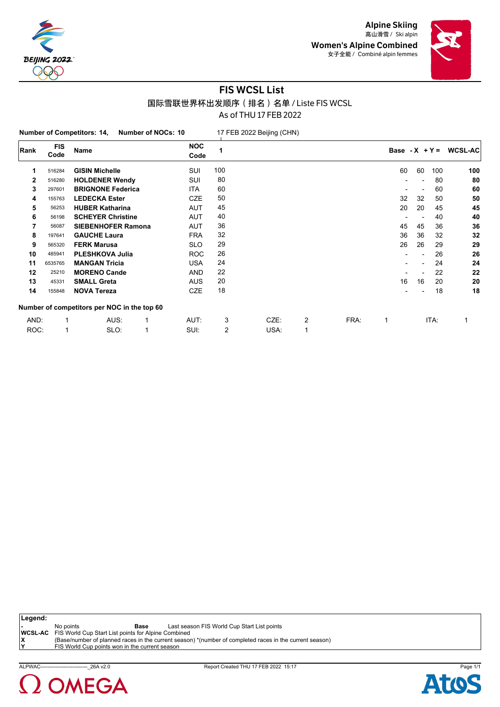



#### FIS WCSL List 国际雪联世界杯出发顺序(排名)名单 / Liste FIS WCSL As of THU 17 FEB 2022

**Number of Competitors: 14, Number of NOCs: 10** 17 FEB 2022 Beijing (CHN) **Rank FIS Code Name NOC Code Base - X + Y = WCSL-AC** 516284 **GISIN Michelle** SUI 100 60 60 100 **100** 516280 **HOLDENER Wendy** SUI 80 - - 80 **80** 297601 **BRIGNONE Federica** ITA 60 - - 60 **60** 155763 **LEDECKA Ester** CZE 50 32 32 50 **50** 56253 **HUBER Katharina** AUT 45 20 20 45 **45** 56198 **SCHEYER Christine** AUT 40 - - 40 **40** 56087 **SIEBENHOFER Ramona** AUT 36 45 45 36 **36** 197641 **GAUCHE Laura** FRA 32 36 36 32 **32** 565320 **FERK Marusa** SLO 29 26 26 29 **29** 485941 **PLESHKOVA Julia** ROC 26 - - 26 **26** 6535765 **MANGAN Tricia** USA 24 - - 24 **24** 25210 **MORENO Cande** AND 22 - - 22 **22** 45331 **SMALL Greta** AUS 20 16 16 20 **20** 155848 **NOVA Tereza** CZE 18 - - 18 **18 Number of competitors per NOC in the top 60** AND: 1 AUS: 1 AUT: 3 CZE: 2 FRA: 1 ITA: 1 ROC: 1 SLO: 1 SUI: 2 USA: 1

**Legend: -** No points **Base** Last season FIS World Cup Start List points **WCSL-AC** FIS World Cup Start List points for Alpine Combined **X** (Base/number of planned races in the current season) \*(number of completed races in the current season) **FIS World Cup points won in the current season** 



ALPWAC----------------------------\_26A v2.0 Report Created THU 17 FEB 2022 15:17 Page 1/1

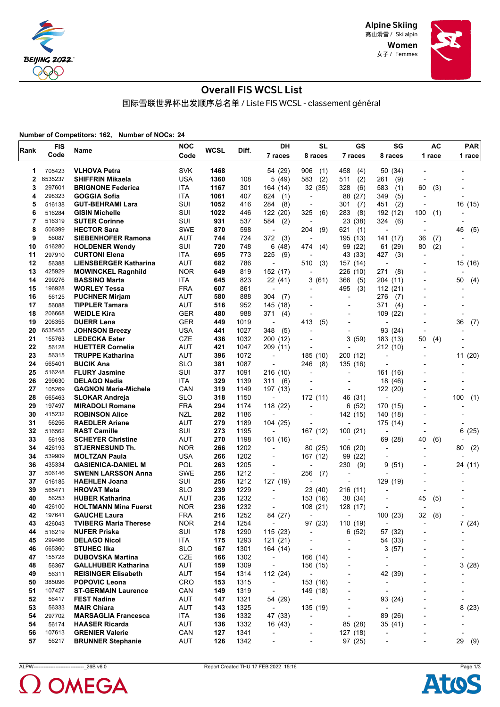

> Women 女子 / Femmes



## Overall FIS WCSL List

国际雪联世界杯出发顺序总名单 / Liste FIS WCSL - classement général

**Number of Competitors: 162, Number of NOCs: 24**

| Rank | <b>FIS</b> | Name                                          | <b>NOC</b> | <b>WCSL</b> | Diff. | DH                              | SL                       | GS                       | SG                       |                              | AC     | <b>PAR</b>               |
|------|------------|-----------------------------------------------|------------|-------------|-------|---------------------------------|--------------------------|--------------------------|--------------------------|------------------------------|--------|--------------------------|
|      | Code       |                                               | Code       |             |       | 7 races                         | 8 races                  | 7 races                  | 8 races                  |                              | 1 race | 1 race                   |
| 1    | 705423     | <b>VLHOVA Petra</b>                           | <b>SVK</b> | 1468        |       | 54 (29)                         | 906<br>(1)               | 458<br>(4)               | 50 (34)                  |                              |        |                          |
| 2    | 6535237    | <b>SHIFFRIN Mikaela</b>                       | <b>USA</b> | 1360        | 108   | 5(49)                           | 583<br>(2)               | (2)<br>511               | (9)<br>261               |                              |        |                          |
| 3    | 297601     | <b>BRIGNONE Federica</b>                      | ITA        | 1167        | 301   | 164 (14)                        | 32 (35)                  | 328<br>(6)               | 583<br>(1)               | 60                           | (3)    |                          |
| 4    | 298323     | GOGGIA Sofia                                  | ITA        | 1061        | 407   | 624<br>(1)                      | $\overline{\phantom{a}}$ | 88<br>(27)               | (5)<br>349               | $\overline{\phantom{a}}$     |        |                          |
| 5    | 516138     | <b>GUT-BEHRAMI Lara</b>                       | SUI        | 1052        | 416   | 284<br>(8)                      | $\overline{a}$           | 301<br>(7)               | (2)<br>451               | $\overline{\phantom{a}}$     |        | 16 (15)                  |
| 6    | 516284     | <b>GISIN Michelle</b>                         | SUI        | 1022        | 446   | 122 (20)                        | 325<br>(6)               | 283<br>(8)               | 192 (12)                 | 100                          |        |                          |
| 7    | 516319     | <b>SUTER Corinne</b>                          | SUI        | 931         | 537   | 584                             |                          | 23 (38)                  | 324<br>(6)               |                              | (1)    | $\overline{\phantom{a}}$ |
| 8    | 506399     | <b>HECTOR Sara</b>                            | <b>SWE</b> | 870         | 598   | (2)<br>$\overline{\phantom{a}}$ | (9)<br>204               | 621<br>(1)               |                          | $\overline{\phantom{a}}$     |        | 45                       |
| 9    | 56087      | <b>SIEBENHOFER Ramona</b>                     | AUT        | 744         | 724   | 372<br>(3)                      | $\overline{\phantom{a}}$ | 195 (13)                 | 141 (17)                 | 36                           |        | (5)                      |
| 10   | 516280     |                                               | SUI        | 720         | 748   | 6(48)                           | 474                      |                          |                          |                              | (7)    | $\overline{a}$           |
| 11   | 297910     | <b>HOLDENER Wendy</b><br><b>CURTONI Elena</b> | ITA        | 695         | 773   | 225                             | (4)                      | 99 (22)<br>43 (33)       | (29)<br>61<br>427<br>(3) | 80                           | (2)    | $\overline{\phantom{a}}$ |
| 12   | 56388      | <b>LIENSBERGER Katharina</b>                  | AUT        | 682         | 786   | (9)<br>$\overline{a}$           | 510                      |                          | ٠                        |                              |        |                          |
| 13   | 425929     |                                               |            |             |       |                                 | (3)                      | 157 (14)                 |                          | $\blacksquare$               |        | 15 (16)                  |
| 14   | 299276     | <b>MOWINCKEL Ragnhild</b>                     | <b>NOR</b> | 649         | 819   | 152 (17)                        | $\overline{a}$           | 226 (10)                 | 271<br>(8)               |                              |        |                          |
|      |            | <b>BASSINO Marta</b>                          | ITA        | 645         | 823   | 22 (41)                         | 3(61)                    | 366<br>(5)               | 204 (11)                 |                              |        | 50<br>(4)                |
| 15   | 196928     | <b>WORLEY Tessa</b>                           | <b>FRA</b> | 607         | 861   | ÷,                              | $\overline{a}$           | 495<br>(3)               | 112(21)                  | $\overline{\phantom{a}}$     |        | $\overline{a}$           |
| 16   | 56125      | <b>PUCHNER Mirjam</b>                         | AUT        | 580         | 888   | 304<br>(7)                      | $\blacksquare$           | $\overline{\phantom{a}}$ | 276<br>(7)               |                              |        |                          |
| 17   | 56088      | <b>TIPPLER Tamara</b>                         | AUT        | 516         | 952   | 145 (18)                        |                          |                          | 371<br>(4)               |                              |        |                          |
| 18   | 206668     | <b>WEIDLE Kira</b>                            | GER        | 480         | 988   | 371<br>(4)                      | $\overline{a}$           | $\overline{\phantom{a}}$ | 109<br>(22)              |                              |        | $\overline{a}$           |
| 19   | 206355     | <b>DUERR Lena</b>                             | <b>GER</b> | 449         | 1019  | $\overline{\phantom{a}}$        | 413<br>(5)               | $\overline{\phantom{a}}$ |                          | $\blacksquare$               |        | 36<br>(7)                |
| 20   | 6535455    | <b>JOHNSON Breezy</b>                         | USA        | 441         | 1027  | (5)<br>348                      |                          | $\overline{\phantom{a}}$ | 93 (24)                  |                              |        |                          |
| 21   | 155763     | <b>LEDECKA Ester</b>                          | <b>CZE</b> | 436         | 1032  | 200 (12)                        |                          | 3(59)                    | 183 (13)                 | 50                           | (4)    |                          |
| 22   | 56128      | <b>HUETTER Cornelia</b>                       | <b>AUT</b> | 421         | 1047  | 209 (11)                        | $\overline{\phantom{a}}$ |                          | 212 (10)                 | $\overline{\phantom{a}}$     |        |                          |
| 23   | 56315      | <b>TRUPPE Katharina</b>                       | AUT        | 396         | 1072  | $\overline{\phantom{a}}$        | 185 (10)                 | 200 (12)                 |                          |                              |        | 11 (20)                  |
| 24   | 565401     | <b>BUCIK Ana</b>                              | <b>SLO</b> | 381         | 1087  | $\overline{a}$                  | 246<br>(8)               | 135 (16)                 |                          |                              |        |                          |
| 25   | 516248     | <b>FLURY Jasmine</b>                          | SUI        | 377         | 1091  | 216 (10)                        | $\overline{a}$           |                          | 161 (16)                 |                              |        |                          |
| 26   | 299630     | <b>DELAGO Nadia</b>                           | ITA        | 329         | 1139  | 311<br>(6)                      |                          |                          | 18<br>(46)               |                              |        |                          |
| 27   | 105269     | <b>GAGNON Marie-Michele</b>                   | CAN        | 319         | 1149  | 197 (13)                        |                          |                          | 122<br>(20)              |                              |        |                          |
| 28   | 565463     | <b>SLOKAR Andreja</b>                         | <b>SLO</b> | 318         | 1150  | $\overline{\phantom{a}}$        | 172 (11)                 | 46 (31)                  | L,                       |                              |        | 100<br>(1)               |
| 29   | 197497     | <b>MIRADOLI Romane</b>                        | <b>FRA</b> | 294         | 1174  | 118 (22)                        |                          | 6(52)                    | 170 (15)                 |                              |        | $\overline{a}$           |
| 30   | 415232     | <b>ROBINSON Alice</b>                         | NZL        | 282         | 1186  | $\overline{\phantom{a}}$        | $\overline{\phantom{0}}$ | 142 (15)                 | 140 (18)                 | $\overline{\phantom{a}}$     |        |                          |
| 31   | 56256      | <b>RAEDLER Ariane</b>                         | AUT        | 279         | 1189  | 104 (25)                        | $\overline{\phantom{a}}$ |                          | 175 (14)                 | $\blacksquare$               |        |                          |
| 32   | 516562     | <b>RAST Camille</b>                           | SUI        | 273         | 1195  |                                 | 167 (12)                 | 100 (21)                 |                          |                              |        | 6<br>(25)                |
| 33   | 56198      | <b>SCHEYER Christine</b>                      | AUT        | 270         | 1198  | 161 (16)                        | $\blacksquare$           | $\overline{a}$           | 69<br>(28)               | 40                           | (6)    |                          |
| 34   | 426193     | <b>STJERNESUND Th.</b>                        | <b>NOR</b> | 266         | 1202  | ÷,                              | 80 (25)                  | 106 (20)                 | $\overline{\phantom{a}}$ | $\overline{\phantom{a}}$     |        | 80<br>(2)                |
| 34   | 539909     | <b>MOLTZAN Paula</b>                          | <b>USA</b> | 266         | 1202  |                                 | 167 (12)                 | 99 (22)                  |                          |                              |        |                          |
| 36   | 435334     | <b>GASIENICA-DANIEL M</b>                     | POL        | 263         | 1205  | $\blacksquare$                  | $\overline{\phantom{0}}$ | 230<br>(9)               | 9<br>(51)                | $\overline{\phantom{a}}$     |        | 24 (11)                  |
| 37   | 506146     | <b>SWENN LARSSON Anna</b>                     | <b>SWE</b> | 256         | 1212  | $\overline{a}$                  | 256<br>(7)               |                          |                          |                              |        |                          |
| 37   | 516185     | <b>HAEHLEN Joana</b>                          | SUI        | 256         | 1212  | 127 (19)                        |                          |                          | 129 (19)                 |                              |        |                          |
| 39   | 565471     | <b>HROVAT Meta</b>                            | <b>SLO</b> | 239         | 1229  | $\overline{a}$                  | 23 (40)                  | 216 (11)                 |                          | $\overline{\phantom{a}}$     |        |                          |
| 40   | 56253      | <b>HUBER Katharina</b>                        | AUT        | 236         | 1232  | ÷,                              | 153 (16)                 | 38 (34)                  |                          | 45                           | (5)    |                          |
| 40   | 426100     | <b>HOLTMANN Mina Fuerst</b>                   | <b>NOR</b> | 236         | 1232  |                                 | 108 (21)                 | 128 (17)                 |                          | $\overline{a}$               |        |                          |
| 42   | 197641     | <b>GAUCHE Laura</b>                           | <b>FRA</b> | 216         | 1252  | 84 (27)                         | $\overline{\phantom{a}}$ | $\overline{\phantom{a}}$ | 100 (23)                 | 32                           | (8)    | $\overline{\phantom{a}}$ |
| 43   | 426043     | <b>TVIBERG Maria Therese</b>                  | <b>NOR</b> | 214         | 1254  | $\overline{\phantom{a}}$        | 97 (23)                  | 110 (19)                 | $\overline{\phantom{a}}$ | $\overline{\phantom{a}}$     |        | 7(24)                    |
| 44   | 516219     | <b>NUFER Priska</b>                           | SUI        | 178         | 1290  | 115 (23)                        | $\overline{\phantom{a}}$ | 6(52)                    | 57 (32)                  |                              |        |                          |
| 45   | 299466     | <b>DELAGO Nicol</b>                           | ITA        | 175         | 1293  | 121(21)                         | $\overline{\phantom{a}}$ | $\blacksquare$           | 54 (33)                  | $\overline{a}$               |        |                          |
| 46   | 565360     | <b>STUHEC IIka</b>                            | <b>SLO</b> | 167         | 1301  | 164 (14)                        | $\centerdot$             | $\overline{\phantom{a}}$ | 3(57)                    | $\overline{\phantom{a}}$     |        | $\overline{\phantom{a}}$ |
| 47   | 155728     | <b>DUBOVSKA Martina</b>                       | CZE        | 166         | 1302  | $\overline{\phantom{a}}$        | 166 (14)                 |                          | -                        |                              |        | $\overline{\phantom{a}}$ |
| 48   | 56367      | <b>GALLHUBER Katharina</b>                    | AUT        | 159         | 1309  | $\overline{\phantom{a}}$        | 156 (15)                 | $\overline{\phantom{a}}$ | $\overline{\phantom{0}}$ | $\blacksquare$               |        | 3(28)                    |
| 49   | 56311      | <b>REISINGER Elisabeth</b>                    | AUT        | 154         | 1314  | 112 (24)                        | $\overline{\phantom{a}}$ | $\overline{a}$           | 42 (39)                  | $\overline{\phantom{a}}$     |        | $\overline{\phantom{a}}$ |
| 50   | 385096     | <b>POPOVIC Leona</b>                          | <b>CRO</b> | 153         | 1315  | $\overline{\phantom{a}}$        | 153 (16)                 |                          | $\overline{\phantom{0}}$ |                              |        |                          |
| 51   | 107427     | <b>ST-GERMAIN Laurence</b>                    | CAN        | 149         | 1319  | $\overline{\phantom{a}}$        | 149 (18)                 | $\overline{\phantom{a}}$ | $\overline{\phantom{0}}$ | $\overline{\phantom{a}}$     |        | -                        |
| 52   | 56417      | <b>FEST Nadine</b>                            | AUT        | 147         | 1321  | 54 (29)                         | $\overline{\phantom{a}}$ | $\blacksquare$           | 93 (24)                  | $\overline{\phantom{a}}$     |        | $\overline{\phantom{a}}$ |
| 53   | 56333      | <b>MAIR Chiara</b>                            | <b>AUT</b> | 143         | 1325  | $\overline{\phantom{a}}$        | 135 (19)                 |                          | $\overline{a}$           |                              |        | 8<br>(23)                |
| 54   | 297702     | <b>MARSAGLIA Francesca</b>                    | ITA        | 136         | 1332  | 47 (33)                         | $\overline{\phantom{a}}$ | $\overline{a}$           | 89 (26)                  | $\overline{a}$               |        |                          |
| 54   | 56174      | <b>HAASER Ricarda</b>                         | AUT        | 136         | 1332  | 16 (43)                         | $\overline{\phantom{a}}$ | 85 (28)                  | 35 (41)                  |                              |        | $\overline{\phantom{a}}$ |
| 56   | 107613     | <b>GRENIER Valerie</b>                        | CAN        | 127         | 1341  | ÷,                              | $\overline{\phantom{0}}$ | 127 (18)                 | $\overline{\phantom{m}}$ |                              |        |                          |
| 57   | 56217      | <b>BRUNNER Stephanie</b>                      | AUT        | 126         | 1342  | $\overline{\phantom{a}}$        | $\overline{\phantom{a}}$ | 97 (25)                  | $\overline{\phantom{a}}$ | $\qquad \qquad \blacksquare$ |        | 29 (9)                   |



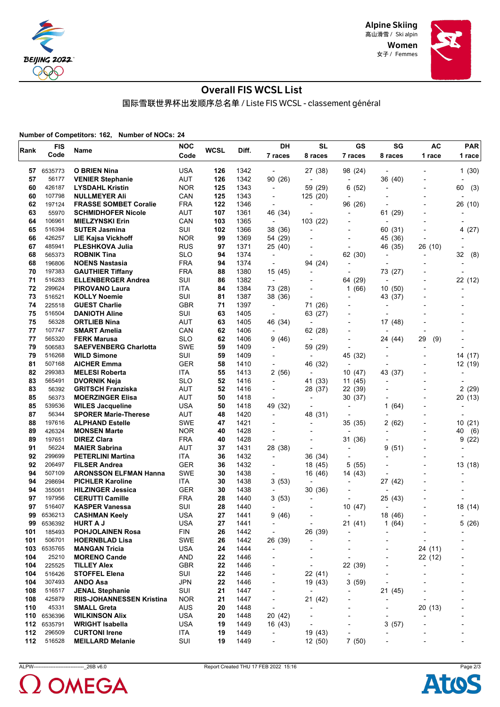

Women 女子 / Femmes



## Overall FIS WCSL List

国际雪联世界杯出发顺序总名单 / Liste FIS WCSL - classement général

**Number of Competitors: 162, Number of NOCs: 24**

|            | <b>FIS</b>        |                                               | <b>NOC</b>               | <b>WCSL</b> |              | DH                           | <b>SL</b>                | GS                       | SG                       | <b>AC</b>                | <b>PAR</b> |
|------------|-------------------|-----------------------------------------------|--------------------------|-------------|--------------|------------------------------|--------------------------|--------------------------|--------------------------|--------------------------|------------|
| Rank       | Code              | Name                                          | Code                     |             | Diff.        | 7 races                      | 8 races                  | 7 races                  | 8 races                  | 1 race                   | 1 race     |
|            |                   |                                               |                          |             |              |                              |                          |                          |                          |                          |            |
| 57         | 6535773           | <b>O BRIEN Nina</b>                           | <b>USA</b>               | 126         | 1342         | $\overline{\phantom{a}}$     | 27 (38)                  | 98 (24)                  |                          |                          | 1(30)      |
| 57         | 56177             | <b>VENIER Stephanie</b>                       | <b>AUT</b>               | 126         | 1342         | 90 (26)                      |                          | $\blacksquare$           | 36 (40)                  |                          |            |
| 60         | 426187            | <b>LYSDAHL Kristin</b>                        | <b>NOR</b>               | 125         | 1343         | $\overline{\phantom{a}}$     | 59 (29)                  | 6(52)                    | $\overline{\phantom{a}}$ | $\overline{a}$           | 60<br>(3)  |
| 60         | 107798            | <b>NULLMEYER Ali</b>                          | CAN                      | 125         | 1343         | $\overline{\phantom{a}}$     | 125 (20)                 | $\overline{a}$           |                          | $\overline{\phantom{a}}$ |            |
| 62         | 197124            | <b>FRASSE SOMBET Coralie</b>                  | <b>FRA</b>               | 122         | 1346         | $\blacksquare$               |                          | 96 (26)                  |                          |                          | 26 (10)    |
| 63         | 55970             | <b>SCHMIDHOFER Nicole</b>                     | <b>AUT</b>               | 107         | 1361         | 46 (34)                      |                          | ٠                        | 61 (29)                  |                          |            |
| 64         | 106961            | <b>MIELZYNSKI Erin</b>                        | CAN                      | 103         | 1365         | $\overline{\phantom{a}}$     | 103 (22)                 | ٠                        |                          |                          |            |
| 65         | 516394            | <b>SUTER Jasmina</b>                          | SUI                      | 102         | 1366         | 38 (36)                      |                          | $\overline{\phantom{a}}$ | 60 (31)                  |                          | 4(27)      |
| 66         | 426257            | <b>LIE Kajsa Vickhoff</b>                     | <b>NOR</b>               | 99          | 1369         | 54 (29)                      |                          | $\overline{a}$           | 45 (36)                  | $\overline{\phantom{a}}$ |            |
| 67         | 485941            | <b>PLESHKOVA Julia</b>                        | <b>RUS</b>               | 97          | 1371         | 25 (40)                      |                          | ÷                        | 46 (35)                  | 26 (10)                  |            |
| 68         | 565373            | <b>ROBNIK Tina</b>                            | <b>SLO</b>               | 94          | 1374         | $\overline{a}$               |                          | 62 (30)                  | $\overline{\phantom{a}}$ | $\overline{\phantom{a}}$ | 32<br>(8)  |
| 68         | 196806            | <b>NOENS Nastasia</b>                         | <b>FRA</b>               | 94          | 1374         | $\overline{\phantom{a}}$     | 94 (24)                  | ٠                        |                          |                          |            |
| 70         | 197383            | <b>GAUTHIER Tiffany</b>                       | <b>FRA</b>               | 88          | 1380         | 15 (45)                      |                          | $\overline{a}$           | 73 (27)                  |                          |            |
| 71         | 516283            | <b>ELLENBERGER Andrea</b>                     | SUI                      | 86          | 1382         | $\overline{\phantom{a}}$     |                          | 64 (29)                  | $\overline{\phantom{a}}$ |                          | 22 (12)    |
| 72         | 299624            | <b>PIROVANO Laura</b>                         | ITA                      | 84          | 1384         | 73 (28)                      |                          | 1(66)                    | 10 (50)                  |                          |            |
| 73         | 516521            | <b>KOLLY Noemie</b>                           | SUI                      | 81          | 1387         | 38 (36)                      | $\blacksquare$           | $\overline{a}$           | 43 (37)                  |                          |            |
| 74         | 225518            | <b>GUEST Charlie</b>                          | <b>GBR</b>               | 71          | 1397         | $\overline{\phantom{a}}$     | 71 (26)                  | $\overline{\phantom{a}}$ | $\overline{\phantom{a}}$ |                          |            |
| 75         | 516504            | <b>DANIOTH Aline</b>                          | SUI                      | 63          | 1405         | $\overline{\phantom{a}}$     | 63 (27)                  |                          |                          |                          |            |
| 75         | 56328             | <b>ORTLIEB Nina</b>                           | AUT                      | 63          | 1405         | 46 (34)                      |                          | $\overline{\phantom{0}}$ | 17 (48)                  |                          |            |
| 77         | 107747            | <b>SMART Amelia</b>                           | CAN                      | 62          | 1406         | $\blacksquare$               | 62 (28)                  | $\overline{\phantom{0}}$ |                          |                          |            |
| 77         | 565320            | <b>FERK Marusa</b>                            | <b>SLO</b>               | 62          | 1406         | 9 (46)                       | $\overline{\phantom{a}}$ | $\overline{a}$           | 24 (44)                  | 29<br>(9)                |            |
| 79         | 506583            | <b>SAEFVENBERG Charlotta</b>                  | <b>SWE</b>               | 59          | 1409         | $\overline{\phantom{a}}$     | 59 (29)                  | ÷                        |                          | $\overline{a}$           |            |
| 79         | 516268            | <b>WILD Simone</b>                            | SUI                      | 59          | 1409         | $\overline{\phantom{0}}$     |                          | 45 (32)                  |                          |                          | 14 (17)    |
| 81         | 507168            | <b>AICHER Emma</b>                            | <b>GER</b>               | 58          | 1410         | $\overline{\phantom{0}}$     | 46 (32)                  | $\overline{a}$           |                          |                          | 12 (19)    |
| 82         | 299383            | <b>MELESI Roberta</b>                         | ITA                      | 55          | 1413         | 2(56)                        |                          | 10(47)                   | 43 (37)                  |                          |            |
| 83         | 565491            | <b>DVORNIK Neja</b>                           | <b>SLO</b>               | 52          | 1416         | $\overline{\phantom{a}}$     | 41 (33)                  | 11 (45)                  |                          |                          |            |
| 83         | 56392             | <b>GRITSCH Franziska</b>                      | <b>AUT</b>               | 52          | 1416         | $\overline{\phantom{0}}$     | 28 (37)                  | 22 (39)                  |                          |                          | 2(29)      |
| 85         | 56373             | <b>MOERZINGER Elisa</b>                       | AUT                      | 50          | 1418         | $\overline{\phantom{a}}$     | $\overline{a}$           | 30 (37)                  |                          | $\overline{\phantom{a}}$ | 20 (13)    |
| 85         | 539536            | <b>WILES Jacqueline</b>                       | <b>USA</b>               | 50          | 1418         | 49 (32)                      |                          | $\blacksquare$           | (64)<br>1                |                          |            |
| 87         | 56344             | <b>SPORER Marie-Therese</b>                   | <b>AUT</b>               | 48          | 1420         | $\overline{\phantom{a}}$     | 48 (31)                  |                          |                          |                          |            |
| 88         | 197616            | <b>ALPHAND Estelle</b>                        | <b>SWE</b>               | 47          | 1421         | $\overline{\phantom{a}}$     | $\overline{\phantom{a}}$ | 35 (35)                  | 2(62)                    |                          | 10<br>(21) |
| 89         | 426324            | <b>MONSEN Marte</b>                           | <b>NOR</b>               | 40          | 1428         |                              |                          |                          |                          |                          | 40<br>(6)  |
| 89         | 197651            | <b>DIREZ Clara</b>                            | <b>FRA</b>               | 40          | 1428         | ٠                            |                          | 31 (36)                  |                          |                          | 9<br>(22)  |
| 91         | 56224             | <b>MAIER Sabrina</b>                          | AUT                      | 37          | 1431         | 28 (38)                      |                          | ٠                        | (51)<br>9                |                          |            |
| 92         | 299699            | <b>PETERLINI Martina</b>                      | ITA                      | 36          | 1432         | $\qquad \qquad \blacksquare$ | 36 (34)                  | ٠                        |                          |                          |            |
| 92         | 206497            | <b>FILSER Andrea</b>                          | <b>GER</b>               | 36          | 1432         | $\overline{\phantom{0}}$     | 18 (45)                  | (55)<br>5                |                          | $\overline{a}$           | 13 (18)    |
| 94         | 507109            | <b>ARONSSON ELFMAN Hanna</b>                  | <b>SWE</b>               | 30          | 1438         | $\overline{\phantom{a}}$     | 16 (46)                  | 14 (43)                  |                          |                          |            |
| 94         | 298694            | <b>PICHLER Karoline</b>                       | <b>ITA</b>               | 30          | 1438         | 3(53)                        |                          |                          | 27 (42)                  |                          |            |
| 94         | 355061            | <b>HILZINGER Jessica</b>                      | <b>GER</b>               | 30          | 1438         | $\overline{a}$               | 30 (36)                  |                          |                          |                          |            |
| 97         | 197956            | <b>CERUTTI Camille</b>                        | <b>FRA</b>               | 28          | 1440         | 3(53)                        |                          | ٠                        | 25 (43)                  |                          |            |
| 97<br>99   | 516407<br>6536213 | <b>KASPER Vanessa</b><br><b>CASHMAN Keely</b> | SUI<br><b>USA</b>        | 28<br>27    | 1440<br>1441 | $\blacksquare$               |                          | 10(47)                   | 18 (46)                  |                          | 18 (14)    |
|            |                   |                                               |                          |             |              | 9 (46)                       |                          | $\overline{a}$           |                          |                          |            |
| 99         | 6536392           | <b>HURT A J</b>                               | <b>USA</b>               | 27          | 1441         | $\overline{\phantom{a}}$     | $\overline{\phantom{a}}$ | 21(41)                   | (64)<br>1                |                          | 5(26)      |
| 101<br>101 | 185493<br>506701  | <b>POHJOLAINEN Rosa</b>                       | <b>FIN</b><br><b>SWE</b> | 26<br>26    | 1442<br>1442 | $\overline{\phantom{a}}$     | 26 (39)                  | ٠                        |                          |                          |            |
|            |                   | <b>HOERNBLAD Lisa</b>                         |                          |             |              | 26 (39)                      | $\overline{a}$           |                          |                          | ÷                        |            |
| 103        | 6535765           | <b>MANGAN Tricia</b>                          | <b>USA</b>               | 24          | 1444         | -                            |                          |                          |                          | 24 (11)                  |            |
| 104        | 25210             | <b>MORENO Cande</b><br><b>TILLEY Alex</b>     | <b>AND</b>               | 22          | 1446         | -                            |                          | ٠                        |                          | 22 (12)                  |            |
| 104        | 225525            |                                               | <b>GBR</b>               | 22          | 1446         | $\overline{a}$               | $\overline{\phantom{a}}$ | 22 (39)                  |                          |                          |            |
| 104        | 516426            | <b>STOFFEL Elena</b>                          | SUI                      | 22          | 1446         | -                            | 22 (41)                  | $\overline{\phantom{a}}$ |                          | ٠                        |            |
| 104        | 307493            | ANDO Asa                                      | <b>JPN</b>               | 22          | 1446         | -                            | 19 (43)                  | 3(59)                    |                          |                          |            |
| 108        | 516517            | <b>JENAL Stephanie</b>                        | SUI                      | 21          | 1447         | $\overline{\phantom{0}}$     | $\overline{\phantom{a}}$ | ٠                        | 21 (45)                  |                          |            |
| 108        | 425879            | <b>RIIS-JOHANNESSEN Kristina</b>              | <b>NOR</b>               | 21          | 1447         | $\overline{\phantom{a}}$     | 21 (42)                  | ٠                        |                          | $\overline{a}$           |            |
| 110        | 45331             | <b>SMALL Greta</b>                            | <b>AUS</b>               | 20          | 1448         | $\overline{\phantom{a}}$     |                          | -                        | $\overline{a}$           | 20 (13)                  |            |
| 110        | 6536396           | <b>WILKINSON Alix</b>                         | <b>USA</b>               | 20          | 1448         | 20 (42)                      |                          |                          |                          |                          |            |
| 112        | 6535791           | <b>WRIGHT Isabella</b>                        | <b>USA</b>               | 19          | 1449         | 16 (43)                      | $\overline{a}$           |                          | 3<br>(57)                |                          |            |
| 112        | 296509            | <b>CURTONI Irene</b>                          | ITA                      | 19          | 1449         | $\overline{\phantom{0}}$     | 19 (43)                  | -                        |                          |                          |            |
| 112        | 516528            | <b>MEILLARD Melanie</b>                       | SUI                      | 19          | 1449         | $\overline{\phantom{a}}$     | 12(50)                   | 7(50)                    |                          | -                        |            |



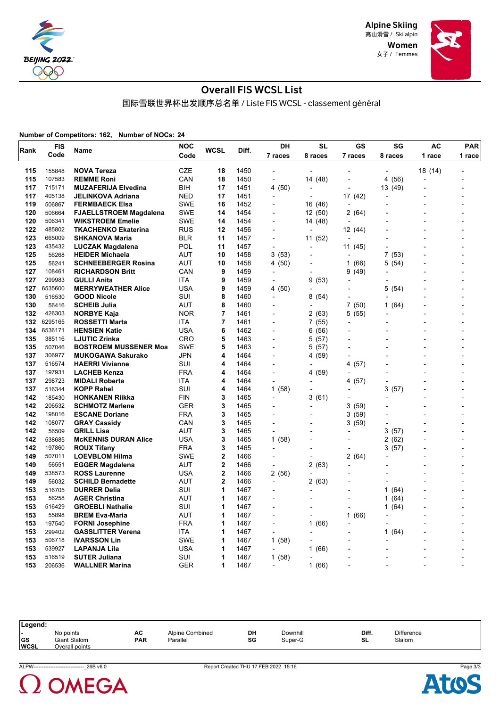

> Women 女子 / Femmes



#### Overall FIS WCSL List

国际雪联世界杯出发顺序总名单 / Liste FIS WCSL - classement général

**Number of Competitors: 162, Number of NOCs: 24**

| Rank | FIS     |                               | <b>NOC</b> | <b>WCSL</b>    | Diff. | DH                       | SL                       | GS                       | SG             | AC      | PAR    |
|------|---------|-------------------------------|------------|----------------|-------|--------------------------|--------------------------|--------------------------|----------------|---------|--------|
|      | Code    | Name                          | Code       |                |       | 7 races                  | 8 races                  | 7 races                  | 8 races        | 1 race  | 1 race |
| 115  | 155848  | <b>NOVA Tereza</b>            | CZE        | 18             | 1450  |                          |                          |                          |                | 18 (14) |        |
| 115  | 107583  | <b>REMME Roni</b>             | CAN        | 18             | 1450  | $\overline{a}$           | 14 (48)                  |                          | 4 (56)         |         |        |
| 117  | 715171  | <b>MUZAFERIJA Elvedina</b>    | BIH        | 17             | 1451  | 4 (50)                   | $\blacksquare$           |                          | 13 (49)        |         |        |
| 117  | 405138  | JELINKOVA Adriana             | <b>NED</b> | 17             | 1451  |                          | $\overline{a}$           | 17 (42)                  |                |         |        |
| 119  | 506867  | <b>FERMBAECK Elsa</b>         | <b>SWE</b> | 16             | 1452  |                          | 16 (46)                  | $\overline{\phantom{a}}$ |                |         |        |
| 120  | 506664  | <b>FJAELLSTROEM Magdalena</b> | <b>SWE</b> | 14             | 1454  |                          | 12(50)                   | 2(64)                    |                |         |        |
| 120  | 506341  | <b>WIKSTROEM Emelie</b>       | <b>SWE</b> | 14             | 1454  | $\overline{a}$           | 14 (48)                  |                          |                |         |        |
| 122  | 485802  | <b>TKACHENKO Ekaterina</b>    | <b>RUS</b> | 12             | 1456  |                          | ÷,                       | 12 (44)                  |                |         |        |
| 123  | 665009  | <b>SHKANOVA Maria</b>         | <b>BLR</b> | 11             | 1457  | $\overline{a}$           | 11 (52)                  | ÷,                       |                |         |        |
| 123  | 435432  | <b>LUCZAK Magdalena</b>       | <b>POL</b> | 11             | 1457  | $\overline{a}$           |                          | 11 (45)                  |                |         |        |
| 125  | 56268   | <b>HEIDER Michaela</b>        | AUT        | 10             | 1458  | 3(53)                    | $\overline{\phantom{0}}$ | $\overline{\phantom{a}}$ | 7<br>(53)      |         |        |
| 125  | 56241   | <b>SCHNEEBERGER Rosina</b>    | AUT        | 10             | 1458  | 4 (50)                   |                          | 1(66)                    | (54)<br>5      |         |        |
| 127  | 108461  | <b>RICHARDSON Britt</b>       | CAN        | 9              | 1459  | $\overline{\phantom{a}}$ | $\blacksquare$           | 9(49)                    | $\overline{a}$ |         |        |
| 127  | 299983  | <b>GULLI Anita</b>            | ITA        | 9              | 1459  | $\blacksquare$           | 9(53)                    |                          |                |         |        |
| 127  | 6535600 | <b>MERRYWEATHER Alice</b>     | <b>USA</b> | 9              | 1459  | 4 (50)                   | $\overline{\phantom{a}}$ | $\overline{a}$           | 5<br>(54)      |         |        |
| 130  | 516530  | <b>GOOD Nicole</b>            | <b>SUI</b> | 8              | 1460  | $\overline{a}$           | 8(54)                    |                          |                |         |        |
| 130  | 56416   | <b>SCHEIB Julia</b>           | AUT        | 8              | 1460  | $\overline{a}$           | $\overline{\phantom{a}}$ | 7(50)                    | 1<br>(64)      |         |        |
| 132  | 426303  | <b>NORBYE Kaja</b>            | <b>NOR</b> | $\overline{7}$ | 1461  |                          | 2(63)                    | 5 (55)                   |                |         |        |
| 132  | 6295165 | <b>ROSSETTI Marta</b>         | ITA        | 7              | 1461  | ÷,                       | 7(55)                    |                          | $\overline{a}$ |         |        |
| 134  | 6536171 | <b>HENSIEN Katie</b>          | <b>USA</b> | 6              | 1462  | L,                       | 6 (56)                   |                          |                |         |        |
| 135  | 385116  | <b>LJUTIC Zrinka</b>          | CRO        | 5              | 1463  | L,                       | 5 (57)                   |                          |                |         |        |
| 135  | 507046  | <b>BOSTROEM MUSSENER Moa</b>  | <b>SWE</b> | 5              | 1463  | L,                       | 5(57)                    |                          |                |         |        |
| 137  | 306977  | <b>MUKOGAWA Sakurako</b>      | <b>JPN</b> | 4              | 1464  | $\overline{a}$           | 4 (59)                   |                          |                |         |        |
| 137  | 516574  | <b>HAERRI Vivianne</b>        | SUI        | 4              | 1464  |                          |                          | 4 (57)                   |                |         |        |
| 137  | 197931  | <b>LACHEB Kenza</b>           | <b>FRA</b> | 4              | 1464  | $\overline{a}$           | 4 (59)                   |                          |                |         |        |
| 137  | 298723  | <b>MIDALI Roberta</b>         | ITA        | 4              | 1464  | $\overline{a}$           |                          | 4 (57)                   |                |         |        |
| 137  | 516344  | <b>KOPP Rahel</b>             | SUI        | 4              | 1464  | 1(58)                    | $\overline{\phantom{a}}$ |                          | 3<br>(57)      |         |        |
| 142  | 185430  | <b>HONKANEN Riikka</b>        | <b>FIN</b> | 3              | 1465  | $\overline{a}$           | 3(61)                    |                          | $\overline{a}$ |         |        |
| 142  | 206532  | <b>SCHMOTZ Marlene</b>        | <b>GER</b> | 3              | 1465  |                          |                          | 3 (59)                   |                |         |        |
| 142  | 198016  | <b>ESCANE Doriane</b>         | <b>FRA</b> | 3              | 1465  |                          |                          | 3 (59)                   |                |         |        |
| 142  | 108077  | <b>GRAY Cassidy</b>           | CAN        | 3              | 1465  | $\overline{\phantom{a}}$ |                          | 3(59)                    |                |         |        |
| 142  | 56509   | <b>GRILL Lisa</b>             | AUT        | 3              | 1465  | $\overline{\phantom{a}}$ | $\overline{a}$           |                          | 3<br>(57)      |         |        |
| 142  | 538685  | <b>McKENNIS DURAN Alice</b>   | <b>USA</b> | 3              | 1465  | 1(58)                    |                          |                          | (62)<br>2      |         |        |
| 142  | 197860  | <b>ROUX Tifany</b>            | <b>FRA</b> | 3              | 1465  | $\overline{a}$           | $\overline{\phantom{a}}$ | $\overline{a}$           | (57)<br>3      |         |        |
| 149  | 507011  | <b>LOEVBLOM Hilma</b>         | <b>SWE</b> | $\overline{2}$ | 1466  | $\overline{a}$           | $\blacksquare$           | 2 (64)                   |                |         |        |
| 149  | 56551   | <b>EGGER Magdalena</b>        | AUT        | 2              | 1466  | $\overline{a}$           | 2(63)                    | L,                       |                |         |        |
| 149  | 538573  | <b>ROSS Laurenne</b>          | <b>USA</b> | 2              | 1466  | 2(56)                    | ÷,                       |                          |                |         |        |
| 149  | 56032   | <b>SCHILD Bernadette</b>      | AUT        | 2              | 1466  | ÷,                       | 2(63)                    |                          |                |         |        |
| 153  | 516705  | <b>DURRER Delia</b>           | SUI        | 1              | 1467  |                          |                          |                          | 1<br>(64)      |         |        |
| 153  | 56258   | <b>AGER Christina</b>         | AUT        | 1              | 1467  |                          |                          | $\overline{a}$           | (64)<br>1      |         |        |
| 153  | 516429  | <b>GROEBLI Nathalie</b>       | SUI        | 1              | 1467  |                          |                          |                          | (64)<br>1      |         |        |
| 153  | 55898   | <b>BREM Eva-Maria</b>         | AUT        | 1              | 1467  | L,                       | L,                       | 1<br>(66)                |                |         |        |
| 153  | 197540  | <b>FORNI Josephine</b>        | <b>FRA</b> | 1              | 1467  | $\overline{a}$           | 1(66)                    |                          |                |         |        |
| 153  | 299402  | <b>GASSLITTER Verena</b>      | ITA        | 1              | 1467  | $\overline{a}$           | $\overline{a}$           |                          | 1<br>(64)      |         |        |
| 153  | 506718  | <b>IVARSSON Lin</b>           | SWE        | 1              | 1467  | 1(58)                    |                          |                          |                |         |        |
| 153  | 539927  | LAPANJA Lila                  | USA        | 1              | 1467  | $\blacksquare$           | 1(66)                    |                          |                |         |        |
| 153  | 516519  | <b>SUTER Juliana</b>          | SUI        | 1              | 1467  | 1(58)                    |                          |                          |                |         |        |
| 153  | 206536  |                               | <b>GER</b> | 1              | 1467  | $\overline{a}$           | 1(66)                    |                          |                |         |        |
|      |         | <b>WALLNER Marina</b>         |            |                |       |                          |                          |                          |                |         |        |

| Legend:                  |                                             |                  |                             |          |                     |             |                             |
|--------------------------|---------------------------------------------|------------------|-----------------------------|----------|---------------------|-------------|-----------------------------|
| <b>GS</b><br><b>WCSL</b> | No points<br>Giant Slalom<br>Overall points | AC<br><b>PAR</b> | Alpine Combined<br>Parallel | DH<br>SG | Downhill<br>Super-G | Diff.<br>SL | <b>Difference</b><br>Slalom |



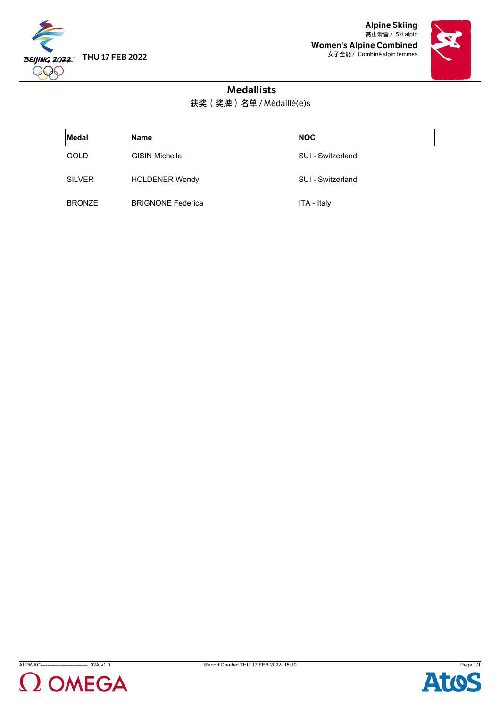

Alpine Skiing 高山滑雪 / Ski alpin Women's Alpine Combined 女子全能 / Combiné alpin femmes



## Medallists

获奖(奖牌)名单 / Médaillé(e)s

| Medal         | <b>Name</b>              | <b>NOC</b>        |
|---------------|--------------------------|-------------------|
| <b>GOLD</b>   | <b>GISIN Michelle</b>    | SUI - Switzerland |
| <b>SILVER</b> | <b>HOLDENER Wendy</b>    | SUI - Switzerland |
| <b>BRONZE</b> | <b>BRIGNONE Federica</b> | ITA - Italy       |





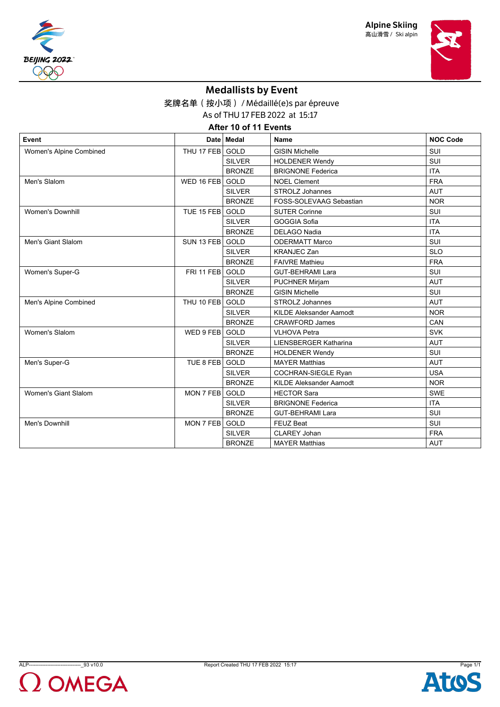





# Medallists by Event

奖牌名单(按小项) / Médaillé(e)s par épreuve

As of THU 17 FEB 2022 at 15:17

**After 10 of 11 Events**

| Event                   |                  | Date   Medal  | <b>Name</b>                    | <b>NOC Code</b> |
|-------------------------|------------------|---------------|--------------------------------|-----------------|
| Women's Alpine Combined | THU 17 FEB GOLD  |               | <b>GISIN Michelle</b>          | SUI             |
|                         |                  | <b>SILVER</b> | <b>HOLDENER Wendy</b>          | SUI             |
|                         |                  | <b>BRONZE</b> | <b>BRIGNONE Federica</b>       | <b>ITA</b>      |
| Men's Slalom            | WED 16 FEB       | <b>GOLD</b>   | <b>NOEL Clement</b>            | <b>FRA</b>      |
|                         |                  | <b>SILVER</b> | <b>STROLZ Johannes</b>         | <b>AUT</b>      |
|                         |                  | <b>BRONZE</b> | FOSS-SOLEVAAG Sebastian        | <b>NOR</b>      |
| <b>Women's Downhill</b> | TUE 15 FEB       | GOLD          | <b>SUTER Corinne</b>           | SUI             |
|                         |                  | <b>SILVER</b> | GOGGIA Sofia                   | <b>ITA</b>      |
|                         |                  | <b>BRONZE</b> | <b>DELAGO Nadia</b>            | <b>ITA</b>      |
| Men's Giant Slalom      | SUN 13 FEB       | GOLD          | <b>ODERMATT Marco</b>          | SUI             |
|                         |                  | <b>SILVER</b> | <b>KRANJEC Zan</b>             | <b>SLO</b>      |
|                         |                  | <b>BRONZE</b> | <b>FAIVRE Mathieu</b>          | <b>FRA</b>      |
| Women's Super-G         | FRI 11 FEB       | GOLD          | <b>GUT-BEHRAMI Lara</b>        | SUI             |
|                         |                  | <b>SILVER</b> | <b>PUCHNER Mirjam</b>          | <b>AUT</b>      |
|                         |                  | <b>BRONZE</b> | <b>GISIN Michelle</b>          | SUI             |
| Men's Alpine Combined   | THU 10 FEB       | GOLD          | <b>STROLZ Johannes</b>         | <b>AUT</b>      |
|                         |                  | <b>SILVER</b> | <b>KILDE Aleksander Aamodt</b> | <b>NOR</b>      |
|                         |                  | <b>BRONZE</b> | <b>CRAWFORD James</b>          | CAN             |
| <b>Women's Slalom</b>   | WED 9 FEB        | GOLD          | <b>VLHOVA Petra</b>            | <b>SVK</b>      |
|                         |                  | <b>SILVER</b> | <b>LIENSBERGER Katharina</b>   | <b>AUT</b>      |
|                         |                  | <b>BRONZE</b> | <b>HOLDENER Wendy</b>          | SUI             |
| Men's Super-G           | TUE 8 FEB        | <b>GOLD</b>   | <b>MAYER Matthias</b>          | <b>AUT</b>      |
|                         |                  | <b>SILVER</b> | COCHRAN-SIEGLE Ryan            | <b>USA</b>      |
|                         |                  | <b>BRONZE</b> | <b>KILDE Aleksander Aamodt</b> | <b>NOR</b>      |
| Women's Giant Slalom    | <b>MON 7 FEB</b> | GOLD          | <b>HECTOR Sara</b>             | <b>SWE</b>      |
|                         |                  | <b>SILVER</b> | <b>BRIGNONE Federica</b>       | <b>ITA</b>      |
|                         |                  | <b>BRONZE</b> | <b>GUT-BEHRAMI Lara</b>        | SUI             |
| Men's Downhill          | MON 7 FEB        | GOLD          | <b>FEUZ Beat</b>               | SUI             |
|                         |                  | <b>SILVER</b> | CLAREY Johan                   | <b>FRA</b>      |
|                         |                  | <b>BRONZE</b> | <b>MAYER Matthias</b>          | <b>AUT</b>      |